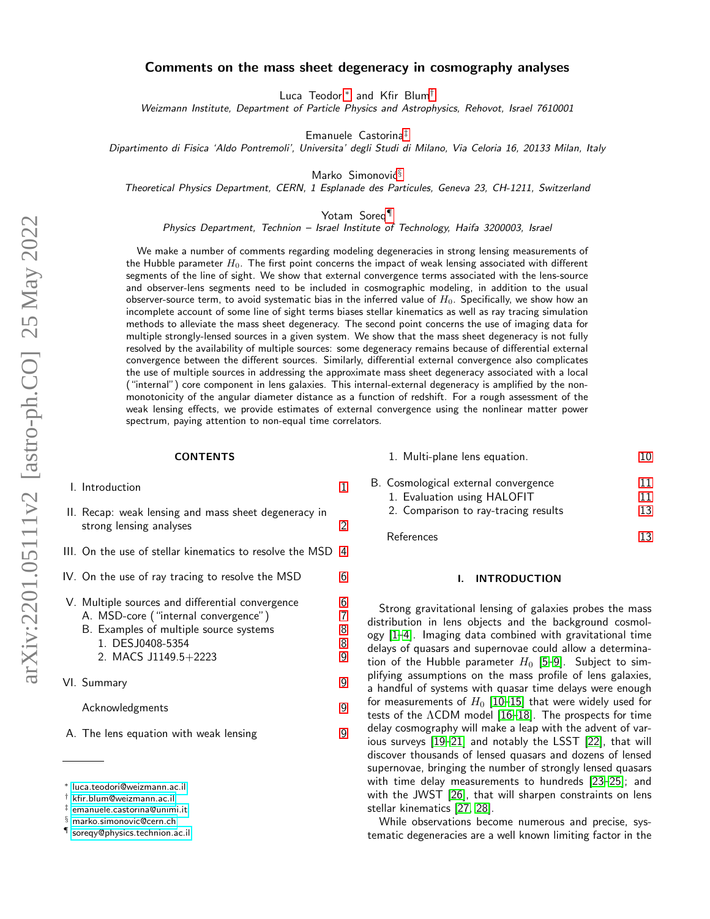# Comments on the mass sheet degeneracy in cosmography analyses

Luca Teodori[∗](#page-0-0) and Kfir Blum[†](#page-0-1)

Weizmann Institute, Department of Particle Physics and Astrophysics, Rehovot, Israel 7610001

Emanuele Castorina[‡](#page-0-2)

Dipartimento di Fisica 'Aldo Pontremoli', Universita' degli Studi di Milano, Via Celoria 16, 20133 Milan, Italy

Marko Simonović $§$ 

Theoretical Physics Department, CERN, 1 Esplanade des Particules, Geneva 23, CH-1211, Switzerland

Yotam Soreq[¶](#page-0-4)

Physics Department, Technion – Israel Institute of Technology, Haifa 3200003, Israel

We make a number of comments regarding modeling degeneracies in strong lensing measurements of the Hubble parameter  $H_0$ . The first point concerns the impact of weak lensing associated with different segments of the line of sight. We show that external convergence terms associated with the lens-source and observer-lens segments need to be included in cosmographic modeling, in addition to the usual observer-source term, to avoid systematic bias in the inferred value of  $H_0$ . Specifically, we show how an incomplete account of some line of sight terms biases stellar kinematics as well as ray tracing simulation methods to alleviate the mass sheet degeneracy. The second point concerns the use of imaging data for multiple strongly-lensed sources in a given system. We show that the mass sheet degeneracy is not fully resolved by the availability of multiple sources: some degeneracy remains because of differential external convergence between the different sources. Similarly, differential external convergence also complicates the use of multiple sources in addressing the approximate mass sheet degeneracy associated with a local ("internal") core component in lens galaxies. This internal-external degeneracy is amplified by the nonmonotonicity of the angular diameter distance as a function of redshift. For a rough assessment of the weak lensing effects, we provide estimates of external convergence using the nonlinear matter power spectrum, paying attention to non-equal time correlators.

#### **CONTENTS**

- I. Introduction [1](#page-0-5)
- II. Recap: weak lensing and mass sheet degeneracy in strong lensing analyses [2](#page-1-0)
- III. On the use of stellar kinematics to resolve the MSD [4](#page-3-0)
- IV. On the use of ray tracing to resolve the  $MSD$  [6](#page-5-0)
- V. Multiple sources and differential convergence [6](#page-5-1)
	- A. MSD-core ("internal convergence") [7](#page-6-0) B. Examples of multiple source systems [8](#page-7-0)
	- 1. DESJ0408-5354 [8](#page-7-1) 2. MACS J1149.5+2223 [9](#page-8-0)
- VI. Summary [9](#page-8-1)
	- Acknowledgments [9](#page-8-2)
- A. The lens equation with weak lensing [9](#page-8-3)

<span id="page-0-2"></span>[emanuele.castorina@unimi.it](mailto:emanuele.castorina@unimi.it)

| B. Cosmological external convergence | 11 |
|--------------------------------------|----|
| 1. Evaluation using HALOFIT          | 11 |
| 2. Comparison to ray-tracing results | 13 |
|                                      |    |

1. Multi-plane lens equation. [10](#page-9-0)

References and the set of the set of the set of the set of the set of the set of the set of the set of the set of the set of the set of the set of the set of the set of the set of the set of the set of the set of the set o

#### <span id="page-0-5"></span>I. INTRODUCTION

Strong gravitational lensing of galaxies probes the mass distribution in lens objects and the background cosmology [\[1](#page-12-2)[–4\]](#page-12-3). Imaging data combined with gravitational time delays of quasars and supernovae could allow a determination of the Hubble parameter  $H_0$  [\[5–](#page-12-4)[9\]](#page-14-0). Subject to simplifying assumptions on the mass profile of lens galaxies, a handful of systems with quasar time delays were enough for measurements of  $H_0$  [\[10–](#page-14-1)[15\]](#page-14-2) that were widely used for tests of the ΛCDM model [\[16–](#page-14-3)[18\]](#page-14-4). The prospects for time delay cosmography will make a leap with the advent of various surveys [\[19](#page-14-5)[–21\]](#page-14-6) and notably the LSST [\[22\]](#page-14-7), that will discover thousands of lensed quasars and dozens of lensed supernovae, bringing the number of strongly lensed quasars with time delay measurements to hundreds [\[23–](#page-14-8)[25\]](#page-14-9); and with the JWST [\[26\]](#page-14-10), that will sharpen constraints on lens stellar kinematics [\[27,](#page-14-11) [28\]](#page-14-12).

While observations become numerous and precise, systematic degeneracies are a well known limiting factor in the

<span id="page-0-0"></span><sup>∗</sup> [luca.teodori@weizmann.ac.il](mailto:luca.teodori@weizmann.ac.il)

<span id="page-0-1"></span><sup>†</sup> [kfir.blum@weizmann.ac.il](mailto:kfir.blum@weizmann.ac.il)

<span id="page-0-3"></span><sup>§</sup> [marko.simonovic@cern.ch](mailto:marko.simonovic@cern.ch)

<span id="page-0-4"></span><sup>¶</sup> [soreqy@physics.technion.ac.il](mailto:soreqy@physics.technion.ac.il)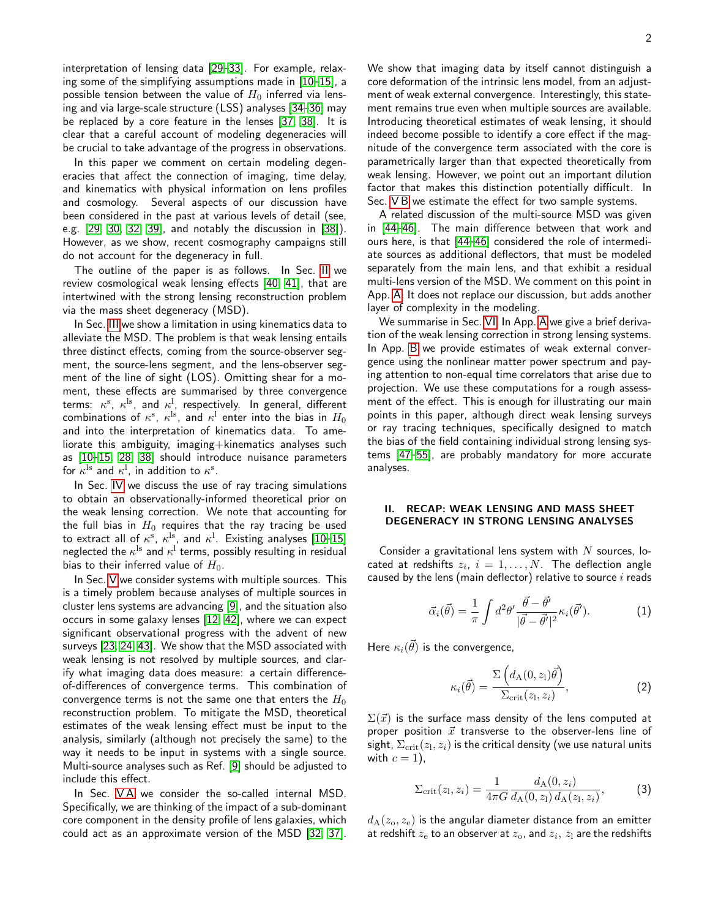interpretation of lensing data [\[29](#page-14-13)[–33\]](#page-14-14). For example, relaxing some of the simplifying assumptions made in [\[10–](#page-14-1)[15\]](#page-14-2), a possible tension between the value of  $H_0$  inferred via lensing and via large-scale structure (LSS) analyses [\[34–](#page-14-15)[36\]](#page-14-16) may be replaced by a core feature in the lenses [\[37,](#page-14-17) [38\]](#page-14-18). It is clear that a careful account of modeling degeneracies will be crucial to take advantage of the progress in observations.

In this paper we comment on certain modeling degeneracies that affect the connection of imaging, time delay, and kinematics with physical information on lens profiles and cosmology. Several aspects of our discussion have been considered in the past at various levels of detail (see, e.g. [\[29,](#page-14-13) [30,](#page-14-19) [32,](#page-14-20) [39\]](#page-14-21), and notably the discussion in [\[38\]](#page-14-18)). However, as we show, recent cosmography campaigns still do not account for the degeneracy in full.

The outline of the paper is as follows. In Sec. [II](#page-1-0) we review cosmological weak lensing effects [\[40,](#page-14-22) [41\]](#page-14-23), that are intertwined with the strong lensing reconstruction problem via the mass sheet degeneracy (MSD).

In Sec. [III](#page-3-0) we show a limitation in using kinematics data to alleviate the MSD. The problem is that weak lensing entails three distinct effects, coming from the source-observer segment, the source-lens segment, and the lens-observer segment of the line of sight (LOS). Omitting shear for a moment, these effects are summarised by three convergence terms:  $\kappa^{\rm s},\ \kappa^{\rm ls},\,$  and  $\kappa^{\rm l}$ , respectively. In general, different combinations of  $\kappa^{\mathrm{s}}$ ,  $\kappa^{\mathrm{ls}}$ , and  $\kappa^{\mathrm{l}}$  enter into the bias in  $H_0$ and into the interpretation of kinematics data. To ameliorate this ambiguity, imaging+kinematics analyses such as [\[10](#page-14-1)[–15,](#page-14-2) [28,](#page-14-12) [38\]](#page-14-18) should introduce nuisance parameters for  $\kappa^{\rm ls}$  and  $\kappa^{\rm l}$ , in addition to  $\kappa^{\rm s}$ .

In Sec. [IV](#page-5-0) we discuss the use of ray tracing simulations to obtain an observationally-informed theoretical prior on the weak lensing correction. We note that accounting for the full bias in  $H_0$  requires that the ray tracing be used to extract all of  $\kappa^{\rm s}$ ,  $\kappa^{\rm ls}$ , and  $\kappa^{\rm l}$ . Existing analyses [\[10](#page-14-1)[–15\]](#page-14-2) neglected the  $\kappa^{\rm ls}$  and  $\kappa^{\rm l}$  terms, possibly resulting in residual bias to their inferred value of  $H_0$ .

In Sec. [V](#page-5-1) we consider systems with multiple sources. This is a timely problem because analyses of multiple sources in cluster lens systems are advancing [\[9\]](#page-14-0), and the situation also occurs in some galaxy lenses [\[12,](#page-14-24) [42\]](#page-14-25), where we can expect significant observational progress with the advent of new surveys [\[23,](#page-14-8) [24,](#page-14-26) [43\]](#page-14-27). We show that the MSD associated with weak lensing is not resolved by multiple sources, and clarify what imaging data does measure: a certain differenceof-differences of convergence terms. This combination of convergence terms is not the same one that enters the  $H_0$ reconstruction problem. To mitigate the MSD, theoretical estimates of the weak lensing effect must be input to the analysis, similarly (although not precisely the same) to the way it needs to be input in systems with a single source. Multi-source analyses such as Ref. [\[9\]](#page-14-0) should be adjusted to include this effect.

In Sec. VA we consider the so-called internal MSD. Specifically, we are thinking of the impact of a sub-dominant core component in the density profile of lens galaxies, which could act as an approximate version of the MSD [\[32,](#page-14-20) [37\]](#page-14-17).

We show that imaging data by itself cannot distinguish a core deformation of the intrinsic lens model, from an adjustment of weak external convergence. Interestingly, this statement remains true even when multiple sources are available. Introducing theoretical estimates of weak lensing, it should indeed become possible to identify a core effect if the magnitude of the convergence term associated with the core is parametrically larger than that expected theoretically from weak lensing. However, we point out an important dilution factor that makes this distinction potentially difficult. In Sec. [V B](#page-7-0) we estimate the effect for two sample systems.

A related discussion of the multi-source MSD was given in [\[44](#page-14-28)[–46\]](#page-14-29). The main difference between that work and ours here, is that [\[44–](#page-14-28)[46\]](#page-14-29) considered the role of intermediate sources as additional deflectors, that must be modeled separately from the main lens, and that exhibit a residual multi-lens version of the MSD. We comment on this point in App. [A.](#page-8-3) It does not replace our discussion, but adds another layer of complexity in the modeling.

We summarise in Sec. [VI.](#page-8-1) In App. [A](#page-8-3) we give a brief derivation of the weak lensing correction in strong lensing systems. In App. [B](#page-10-0) we provide estimates of weak external convergence using the nonlinear matter power spectrum and paying attention to non-equal time correlators that arise due to projection. We use these computations for a rough assessment of the effect. This is enough for illustrating our main points in this paper, although direct weak lensing surveys or ray tracing techniques, specifically designed to match the bias of the field containing individual strong lensing systems [\[47](#page-14-30)[–55\]](#page-15-0), are probably mandatory for more accurate analyses.

### <span id="page-1-0"></span>II. RECAP: WEAK LENSING AND MASS SHEET DEGENERACY IN STRONG LENSING ANALYSES

Consider a gravitational lens system with  $N$  sources, located at redshifts  $z_i, \; i=1,\ldots,N.$  The deflection angle caused by the lens (main deflector) relative to source  $i$  reads

$$
\vec{\alpha}_i(\vec{\theta}) = \frac{1}{\pi} \int d^2 \theta' \frac{\vec{\theta} - \vec{\theta'}}{|\vec{\theta} - \vec{\theta'}|^2} \kappa_i(\vec{\theta}'). \tag{1}
$$

Here  $\kappa_i(\vec{\theta})$  is the convergence,

$$
\kappa_i(\vec{\theta}) = \frac{\Sigma\left(d_{\rm A}(0, z_{\rm l})\vec{\theta}\right)}{\Sigma_{\rm crit}(z_{\rm l}, z_i)},\tag{2}
$$

 $\Sigma(\vec{x})$  is the surface mass density of the lens computed at proper position  $\vec{x}$  transverse to the observer-lens line of sight,  $\Sigma_{\rm crit}(z_{\rm l},z_i)$  is the critical density (we use natural units with  $c = 1$ ),

$$
\Sigma_{\rm crit}(z_1, z_i) = \frac{1}{4\pi G} \frac{d_{\rm A}(0, z_i)}{d_{\rm A}(0, z_1) d_{\rm A}(z_1, z_i)},\tag{3}
$$

 $d_A(z_0, z_e)$  is the angular diameter distance from an emitter at redshift  $z_{\rm e}$  to an observer at  $z_{\rm o}$ , and  $z_i,\,z_{\rm l}$  are the redshifts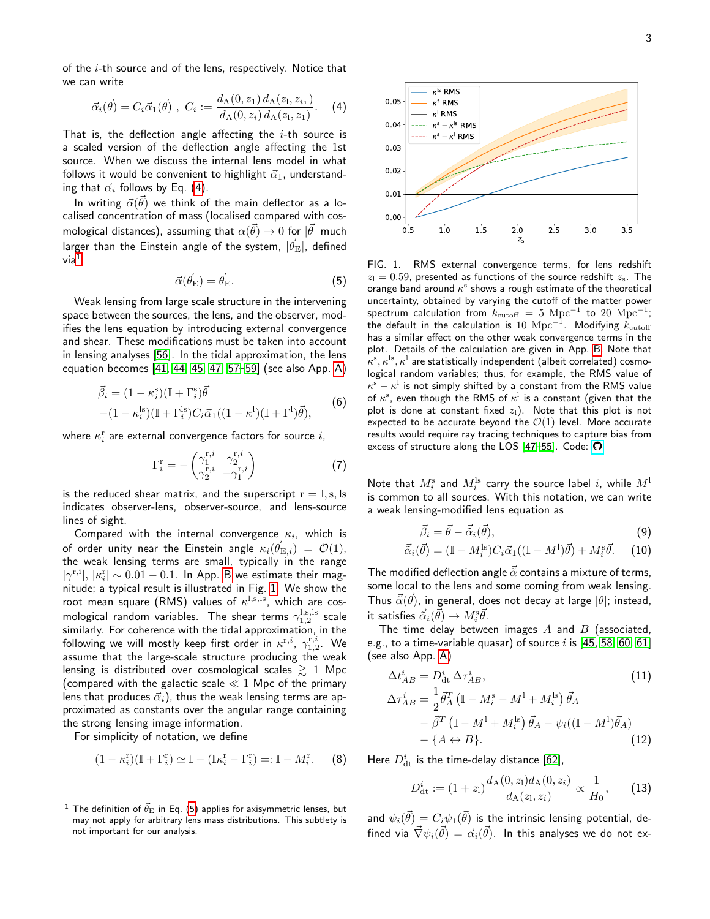of the  $i$ -th source and of the lens, respectively. Notice that we can write

<span id="page-2-0"></span>
$$
\vec{\alpha}_i(\vec{\theta}) = C_i \vec{\alpha}_1(\vec{\theta}), \ C_i := \frac{d_{\rm A}(0, z_1) d_{\rm A}(z_1, z_i)}{d_{\rm A}(0, z_i) d_{\rm A}(z_1, z_1)}.
$$
 (4)

That is, the deflection angle affecting the  $i$ -th source is a scaled version of the deflection angle affecting the 1st source. When we discuss the internal lens model in what follows it would be convenient to highlight  $\vec{\alpha}_1$ , understanding that  $\vec{\alpha}_i$  follows by Eq. [\(4\)](#page-2-0).

In writing  $\vec{\alpha}(\vec{\theta})$  we think of the main deflector as a localised concentration of mass (localised compared with cosmological distances), assuming that  $\alpha(\vec{\theta}) \rightarrow 0$  for  $|\vec{\theta}|$  much larger than the Einstein angle of the system,  $|\vec{\theta_{\mathrm{E}}} |$ , defined  $via<sup>1</sup>$  $via<sup>1</sup>$  $via<sup>1</sup>$ 

<span id="page-2-3"></span>
$$
\vec{\alpha}(\vec{\theta}_{\mathcal{E}}) = \vec{\theta}_{\mathcal{E}}.\tag{5}
$$

Weak lensing from large scale structure in the intervening space between the sources, the lens, and the observer, modifies the lens equation by introducing external convergence and shear. These modifications must be taken into account in lensing analyses [\[56\]](#page-15-1). In the tidal approximation, the lens equation becomes [\[41,](#page-14-23) [44,](#page-14-28) [45,](#page-14-31) [47,](#page-14-30) [57–](#page-15-2)[59\]](#page-15-3) (see also App. [A\)](#page-8-3)

$$
\vec{\beta}_i = (1 - \kappa_i^s)(\mathbb{I} + \Gamma_i^s)\vec{\theta}
$$

$$
-(1 - \kappa_i^{ls})(\mathbb{I} + \Gamma_i^{ls})C_i\vec{\alpha}_1((1 - \kappa^l)(\mathbb{I} + \Gamma^l)\vec{\theta}),
$$
(6)

where  $\kappa_i^{\mathrm{r}}$  are external convergence factors for source  $i,$ 

$$
\Gamma_i^{\mathrm{r}} = -\begin{pmatrix} \gamma_1^{\mathrm{r},i} & \gamma_2^{\mathrm{r},i} \\ \gamma_2^{\mathrm{r},i} & -\gamma_1^{\mathrm{r},i} \end{pmatrix} \tag{7}
$$

is the reduced shear matrix, and the superscript  $r = 1$ , s, ls indicates observer-lens, observer-source, and lens-source lines of sight.

Compared with the internal convergence  $\kappa_i$ , which is of order unity near the Einstein angle  $\kappa_i(\vec{\theta}_{{\rm E},i})~=~{\cal O}(1),$ the weak lensing terms are small, typically in the range  $|\gamma^{\text{r,i}}|, |\kappa^{\text{r}}_i| \sim 0.01 - 0.1$ . In App. [B](#page-10-0) we estimate their magnitude; a typical result is illustrated in Fig. [1.](#page-2-2) We show the root mean square (RMS) values of  $\kappa^{\rm l,s,ls}$ , which are cosmological random variables. The shear terms  $\gamma_{1,2}^{\rm l,s,ls}$  scale similarly. For coherence with the tidal approximation, in the following we will mostly keep first order in  $\kappa^{\text{r},i}, \ \gamma^{\text{r},i}_{1,2}.$  We assume that the large-scale structure producing the weak lensing is distributed over cosmological scales  $\gtrsim 1$  Mpc (compared with the galactic scale  $\ll 1$  Mpc of the primary lens that produces  $\vec{\alpha}_i$ ), thus the weak lensing terms are approximated as constants over the angular range containing the strong lensing image information.

For simplicity of notation, we define

$$
(1 - \kappa_i^{\mathbf{r}})(\mathbb{I} + \Gamma_i^{\mathbf{r}}) \simeq \mathbb{I} - (\mathbb{I}\kappa_i^{\mathbf{r}} - \Gamma_i^{\mathbf{r}}) =: \mathbb{I} - M_i^{\mathbf{r}}.
$$
 (8)



<span id="page-2-2"></span>FIG. 1. RMS external convergence terms, for lens redshift  $z_1 = 0.59$ , presented as functions of the source redshift  $z_s$ . The orange band around  $\kappa^{\mathrm{s}}$  shows a rough estimate of the theoretical uncertainty, obtained by varying the cutoff of the matter power spectrum calculation from  $k_\mathrm{cutoff}\ =\ 5\ \mathrm{Mpc}^{-1}$  to  $20\ \mathrm{Mpc}^{-1};$ the default in the calculation is  $10\,\,{\rm Mpc}^{-1}.$  Modifying  $k_{\rm cutoff}$ has a similar effect on the other weak convergence terms in the plot. Details of the calculation are given in App. [B.](#page-10-0) Note that  $\kappa^{\rm s}, \kappa^{\rm ls}, \kappa^{\rm l}$  are statistically independent (albeit correlated) cosmological random variables; thus, for example, the RMS value of  $\kappa^{\mathrm{s}}-\kappa^{\mathrm{l}}$  is not simply shifted by a constant from the RMS value of  $\kappa^{\mathrm{s}}$ , even though the RMS of  $\kappa^{\mathrm{l}}$  is a constant (given that the plot is done at constant fixed  $z_1$ ). Note that this plot is not expected to be accurate beyond the  $\mathcal{O}(1)$  level. More accurate results would require ray tracing techniques to capture bias from excess of structure along the LOS  $[47-55]$  $[47-55]$ . Code:  $\Omega$ .

<span id="page-2-6"></span>Note that  $M_i^{\mathrm{s}}$  and  $M_i^{\mathrm{ls}}$  carry the source label  $i$ , while  $M^{\mathrm{l}}$ is common to all sources. With this notation, we can write a weak lensing-modified lens equation as

<span id="page-2-4"></span>
$$
\vec{\beta}_i = \vec{\theta} - \vec{\tilde{\alpha}}_i(\vec{\theta}),\tag{9}
$$

$$
\vec{\tilde{\alpha}}_i(\vec{\theta}) = (\mathbb{I} - M_i^{\text{ls}}) C_i \vec{\alpha}_1 ((\mathbb{I} - M^1)\vec{\theta}) + M_i^{\text{s}} \vec{\theta}. \tag{10}
$$

The modified deflection angle  $\vec{\alpha}$  contains a mixture of terms, some local to the lens and some coming from weak lensing. Thus  $\vec{\tilde{\alpha}}(\vec{\theta})$ , in general, does not decay at large  $|\theta|$ ; instead, it satisfies  $\vec{\tilde{\alpha}}_i(\vec{\theta}) \rightarrow M_i^{\mathrm{s}} \vec{\theta}.$ 

The time delay between images  $A$  and  $B$  (associated, e.g., to a time-variable quasar) of source  $i$  is [\[45,](#page-14-31) [58,](#page-15-4) [60,](#page-15-5) [61\]](#page-15-6) (see also App. [A\)](#page-8-3)

<span id="page-2-5"></span>
$$
\Delta t_{AB}^i = D_{\text{dt}}^i \Delta \tau_{AB}^i,
$$
\n
$$
\Delta \tau_{AB}^i = \frac{1}{2} \vec{\theta}_A^T (\mathbb{I} - M_i^{\text{s}} - M^{\text{l}} + M_i^{\text{ls}}) \vec{\theta}_A
$$
\n
$$
- \vec{\beta}^T (\mathbb{I} - M^{\text{l}} + M_i^{\text{ls}}) \vec{\theta}_A - \psi_i ((\mathbb{I} - M^{\text{l}}) \vec{\theta}_A)
$$
\n
$$
- \{A \leftrightarrow B\}.
$$
\n(12)

Here  $D_{\rm dt}^i$  is the time-delay distance [\[62\]](#page-15-7),

$$
D_{\rm dt}^i := (1+z_{\rm l}) \frac{d_{\rm A}(0,z_{\rm l}) d_{\rm A}(0,z_{\rm i})}{d_{\rm A}(z_{\rm l},z_{\rm i})} \propto \frac{1}{H_0},\qquad(13)
$$

and  $\psi_i(\vec{\theta}) = C_i \psi_1(\vec{\theta})$  is the intrinsic lensing potential, defined via  $\vec{\nabla}\psi_i(\vec{\theta})=\vec{\alpha}_i(\vec{\theta}).$  In this analyses we do not ex-

<span id="page-2-1"></span><sup>&</sup>lt;sup>1</sup> The definition of  $\vec{\theta}_{\rm E}$  in Eq. [\(5\)](#page-2-3) applies for axisymmetric lenses, but may not apply for arbitrary lens mass distributions. This subtlety is not important for our analysis.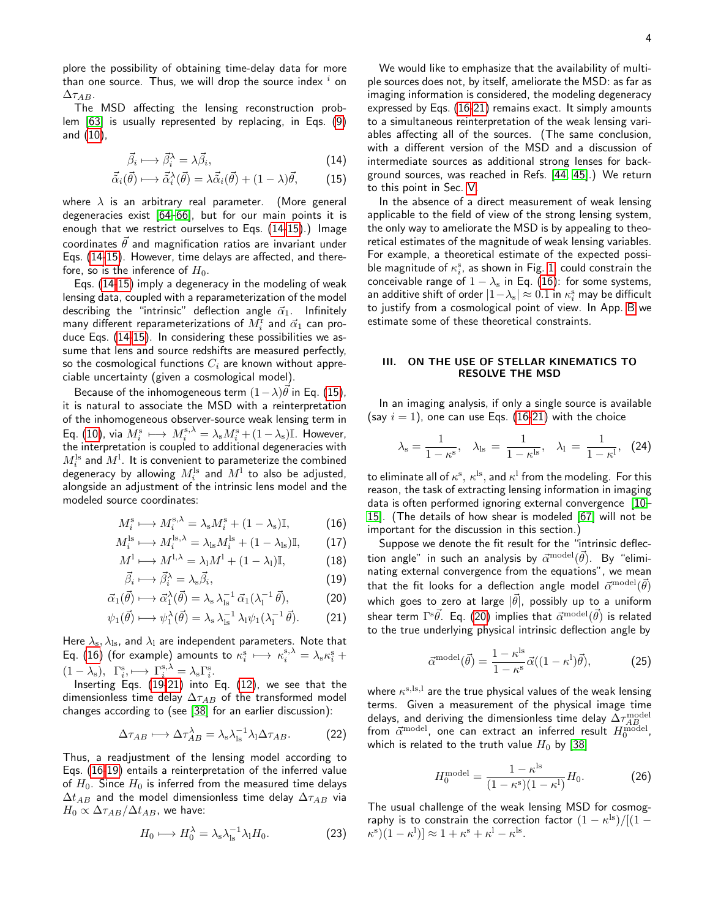4

plore the possibility of obtaining time-delay data for more than one source. Thus, we will drop the source index  $i$  on  $\Delta \tau_{AB}$ .

The MSD affecting the lensing reconstruction problem [\[63\]](#page-15-8) is usually represented by replacing, in Eqs. [\(9\)](#page-2-4) and [\(10\)](#page-2-4),

<span id="page-3-1"></span>
$$
\vec{\beta}_i \longmapsto \vec{\beta}_i^{\lambda} = \lambda \vec{\beta}_i, \tag{14}
$$

$$
\vec{\tilde{\alpha}}_i(\vec{\theta}) \longmapsto \vec{\tilde{\alpha}}_i^{\lambda}(\vec{\theta}) = \lambda \vec{\tilde{\alpha}}_i(\vec{\theta}) + (1 - \lambda)\vec{\theta}, \quad (15)
$$

where  $\lambda$  is an arbitrary real parameter. (More general degeneracies exist [\[64](#page-15-9)[–66\]](#page-15-10), but for our main points it is enough that we restrict ourselves to Eqs. [\(14-15\)](#page-3-1).) Image coordinates  $\vec{\theta}$  and magnification ratios are invariant under Eqs. [\(14-15\)](#page-3-1). However, time delays are affected, and therefore, so is the inference of  $H_0$ .

Eqs. [\(14-15\)](#page-3-1) imply a degeneracy in the modeling of weak lensing data, coupled with a reparameterization of the model describing the "intrinsic" deflection angle  $\vec{\alpha}_1$ . Infinitely many different reparameterizations of  $M_i^{\rm r}$  and  $\vec{\alpha}_1$  can produce Eqs. [\(14-15\)](#page-3-1). In considering these possibilities we assume that lens and source redshifts are measured perfectly, so the cosmological functions  $C_i$  are known without appreciable uncertainty (given a cosmological model).

Because of the inhomogeneous term  $(1 - \lambda)\vec{\theta}$  in Eq. [\(15\)](#page-3-1), it is natural to associate the MSD with a reinterpretation of the inhomogeneous observer-source weak lensing term in Eq. [\(10\)](#page-2-4), via  $M_i^{\rm s} \,\longmapsto\, M_i^{\rm s, \lambda} = \lambda_{\rm s} M_i^{\rm s} + (1-\lambda_{\rm s})\mathbb{I}$ . However, the interpretation is coupled to additional degeneracies with  $M_i^{\rm ls}$  and  $M^{\rm l}$  . It is convenient to parameterize the combined degeneracy by allowing  $M_i^{\rm ls}$  and  $M^{\rm l}$  to also be adjusted, alongside an adjustment of the intrinsic lens model and the modeled source coordinates:

<span id="page-3-2"></span>
$$
M_i^{\rm s} \longmapsto M_i^{\rm s,\lambda} = \lambda_{\rm s} M_i^{\rm s} + (1 - \lambda_{\rm s}) \mathbb{I},\tag{16}
$$

$$
M_i^{\rm ls} \longmapsto M_i^{\rm ls, \lambda} = \lambda_{\rm ls} M_i^{\rm ls} + (1 - \lambda_{\rm ls}) \mathbb{I}, \tag{17}
$$

$$
M^{1} \longmapsto M^{1,\lambda} = \lambda_{1} M^{1} + (1 - \lambda_{1}) \mathbb{I}, \tag{18}
$$

$$
\vec{\beta}_i \longmapsto \vec{\beta}_i^{\lambda} = \lambda_{\rm s} \vec{\beta}_i,\tag{19}
$$

$$
\vec{\alpha}_1(\vec{\theta}) \longmapsto \vec{\alpha}_1^{\lambda}(\vec{\theta}) = \lambda_s \lambda_{\text{ls}}^{-1} \vec{\alpha}_1(\lambda_1^{-1} \vec{\theta}), \tag{20}
$$

$$
\psi_1(\vec{\theta}) \longmapsto \psi_1^{\lambda}(\vec{\theta}) = \lambda_s \lambda_{ls}^{-1} \lambda_l \psi_1(\lambda_l^{-1} \vec{\theta}). \tag{21}
$$

Here  $\lambda_{\rm s}, \lambda_{\rm ls}$ , and  $\lambda_{\rm l}$  are independent parameters. Note that Eq. [\(16\)](#page-3-2) (for example) amounts to  $\kappa_i^{\rm s} \,\longmapsto\, \kappa_i^{\rm s, \lambda} = \lambda_{\rm s} \kappa_i^{\rm s} \,+\,$  $(1 - \lambda_{\rm s}), \ \Gamma_i^{\rm s}, \longmapsto \Gamma_i^{\rm s, \lambda} = \lambda_{\rm s} \Gamma_i^{\rm s}.$ 

Inserting Eqs. [\(19-21\)](#page-3-2) into Eq. [\(12\)](#page-2-5), we see that the dimensionless time delay  $\Delta \tau_{AB}$  of the transformed model changes according to (see [\[38\]](#page-14-18) for an earlier discussion):

$$
\Delta \tau_{AB} \longmapsto \Delta \tau_{AB}^{\lambda} = \lambda_{\rm s} \lambda_{\rm ls}^{-1} \lambda_{\rm l} \Delta \tau_{AB}.
$$
 (22)

Thus, a readjustment of the lensing model according to Eqs. [\(16-19\)](#page-3-2) entails a reinterpretation of the inferred value of  $H_0$ . Since  $H_0$  is inferred from the measured time delays  $\Delta t_{AB}$  and the model dimensionless time delay  $\Delta \tau_{AB}$  via  $H_0 \propto \Delta \tau_{AB}/\Delta t_{AB}$ , we have:

$$
H_0 \longmapsto H_0^{\lambda} = \lambda_{\rm s} \lambda_{\rm ls}^{-1} \lambda_{\rm l} H_0. \tag{23}
$$

We would like to emphasize that the availability of multiple sources does not, by itself, ameliorate the MSD: as far as imaging information is considered, the modeling degeneracy expressed by Eqs. [\(16-21\)](#page-3-2) remains exact. It simply amounts to a simultaneous reinterpretation of the weak lensing variables affecting all of the sources. (The same conclusion, with a different version of the MSD and a discussion of intermediate sources as additional strong lenses for background sources, was reached in Refs. [\[44,](#page-14-28) [45\]](#page-14-31).) We return to this point in Sec. [V.](#page-5-1)

In the absence of a direct measurement of weak lensing applicable to the field of view of the strong lensing system, the only way to ameliorate the MSD is by appealing to theoretical estimates of the magnitude of weak lensing variables. For example, a theoretical estimate of the expected possible magnitude of  $\kappa^{\mathrm{s}}_i$ , as shown in Fig. [1,](#page-2-2) could constrain the conceivable range of  $1 - \lambda_s$  in Eq. [\(16\)](#page-3-2): for some systems, an additive shift of order  $|1 {-} \lambda_{\rm s}| \approx 0.1$  in  $\kappa^{\rm s} _i$  may be difficult to justify from a cosmological point of view. In App. [B](#page-10-0) we estimate some of these theoretical constraints.

# <span id="page-3-0"></span>III. ON THE USE OF STELLAR KINEMATICS TO RESOLVE THE MSD

In an imaging analysis, if only a single source is available (say  $i = 1$ ), one can use Eqs. [\(16-21\)](#page-3-2) with the choice

$$
\lambda_{\rm s} = \frac{1}{1 - \kappa^{\rm s}}, \quad \lambda_{\rm ls} = \frac{1}{1 - \kappa^{\rm ls}}, \quad \lambda_{\rm l} = \frac{1}{1 - \kappa^{\rm l}}, \quad (24)
$$

to eliminate all of  $\kappa^{\rm s},\,\kappa^{\rm ls},$  and  $\kappa^{\rm l}$  from the modeling. For this reason, the task of extracting lensing information in imaging data is often performed ignoring external convergence [\[10–](#page-14-1) [15\]](#page-14-2). (The details of how shear is modeled [\[67\]](#page-15-11) will not be important for the discussion in this section.)

Suppose we denote the fit result for the "intrinsic deflection angle" in such an analysis by  $\vec{\alpha}^{\rm model}(\vec{\theta}).$  By "eliminating external convergence from the equations", we mean that the fit looks for a deflection angle model  $\vec{\alpha}^{\rm model}(\vec{\theta})$ which goes to zero at large  $|\vec{\theta}|$ , possibly up to a uniform shear term  $\Gamma^{\rm s}\vec{\theta}.$  Eq. [\(20\)](#page-3-2) implies that  $\vec{\alpha}^{\rm model}(\vec{\theta})$  is related to the true underlying physical intrinsic deflection angle by

<span id="page-3-4"></span>
$$
\vec{\alpha}^{\text{model}}(\vec{\theta}) = \frac{1 - \kappa^{\text{ls}}}{1 - \kappa^{\text{s}}} \vec{\alpha}((1 - \kappa^{\text{l}})\vec{\theta}), \tag{25}
$$

where  $\kappa^{\rm s, ls, l}$  are the true physical values of the weak lensing terms. Given a measurement of the physical image time delays, and deriving the dimensionless time delay  $\Delta \tau^{\rm model}_{AB}$ from  $\vec{\alpha}^{\rm model},$  one can extract an inferred result  $H_0^{\rm model},$ which is related to the truth value  $H_0$  by [\[38\]](#page-14-18)

<span id="page-3-3"></span>
$$
H_0^{\text{model}} = \frac{1 - \kappa^{\text{ls}}}{(1 - \kappa^{\text{s}})(1 - \kappa^{\text{l}})} H_0. \tag{26}
$$

The usual challenge of the weak lensing MSD for cosmography is to constrain the correction factor  $(1 - \kappa^{\rm ls}) / [(1 - \kappa^{\rm ls})]$  $\kappa^{s}(1-\kappa^{l})\approx 1+\kappa^{s}+\kappa^{l}-\kappa^{ls}.$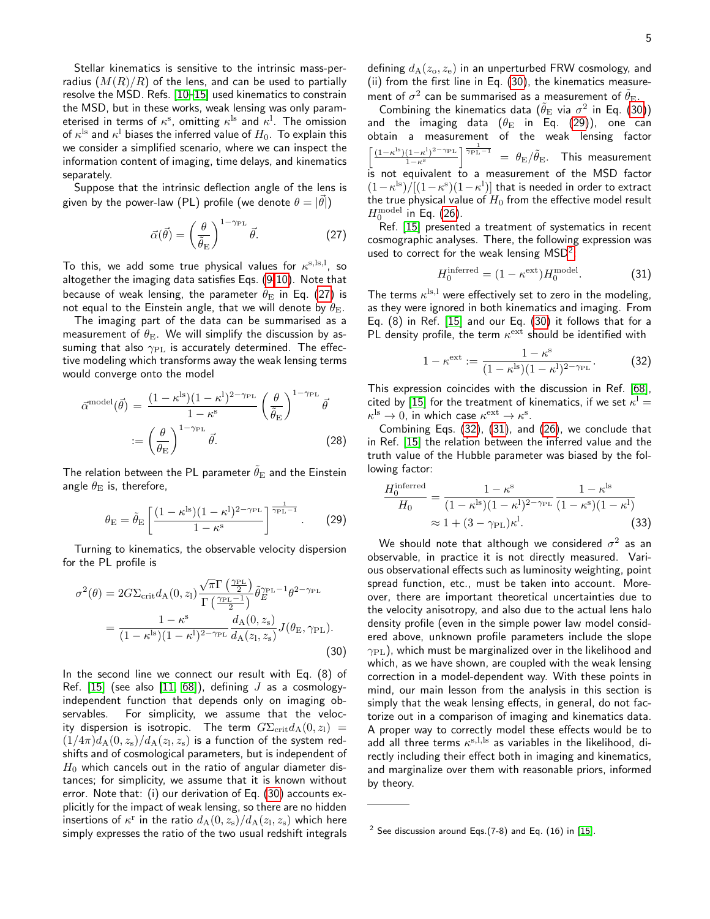Stellar kinematics is sensitive to the intrinsic mass-perradius  $(M(R)/R)$  of the lens, and can be used to partially resolve the MSD. Refs. [\[10–](#page-14-1)[15\]](#page-14-2) used kinematics to constrain the MSD, but in these works, weak lensing was only parameterised in terms of  $\kappa^{\mathrm{s}}$ , omitting  $\kappa^{\mathrm{l}\mathrm{s}}$  and  $\kappa^{\mathrm{l}}$ . The omission of  $\kappa^{\rm ls}$  and  $\kappa^{\rm l}$  biases the inferred value of  $H_0.$  To explain this we consider a simplified scenario, where we can inspect the information content of imaging, time delays, and kinematics separately.

Suppose that the intrinsic deflection angle of the lens is given by the power-law (PL) profile (we denote  $\theta=|\vec{\theta}|)$ 

<span id="page-4-0"></span>
$$
\vec{\alpha}(\vec{\theta}) = \left(\frac{\theta}{\tilde{\theta}_{\rm E}}\right)^{1-\gamma_{\rm PL}} \vec{\theta}.
$$
 (27)

To this, we add some true physical values for  $\kappa^{s, ls, l}$ , so altogether the imaging data satisfies Eqs. [\(9-10\)](#page-2-4). Note that because of weak lensing, the parameter  $\tilde{\theta}_{E}$  in Eq. [\(27\)](#page-4-0) is not equal to the Einstein angle, that we will denote by  $\theta_{\rm E}$ .

The imaging part of the data can be summarised as a measurement of  $\theta_{\rm E}$ . We will simplify the discussion by assuming that also  $\gamma_{\text{PL}}$  is accurately determined. The effective modeling which transforms away the weak lensing terms would converge onto the model

$$
\vec{\alpha}^{\text{model}}(\vec{\theta}) = \frac{(1 - \kappa^{\text{ls}})(1 - \kappa^{\text{l}})^{2 - \gamma_{\text{PL}}}}{1 - \kappa^{\text{s}}} \left(\frac{\theta}{\tilde{\theta}_{\text{E}}}\right)^{1 - \gamma_{\text{PL}}}\vec{\theta}
$$

$$
:= \left(\frac{\theta}{\theta_{\text{E}}}\right)^{1 - \gamma_{\text{PL}}}\vec{\theta}.
$$
(28)

The relation between the PL parameter  $\tilde{\theta}_{\rm E}$  and the Einstein angle  $\theta_{\rm E}$  is, therefore,

<span id="page-4-2"></span>
$$
\theta_{\rm E} = \tilde{\theta}_{\rm E} \left[ \frac{(1 - \kappa^{\rm ls})(1 - \kappa^{\rm l})^{2 - \gamma_{\rm PL}}}{1 - \kappa^{\rm s}} \right]^{\frac{1}{\gamma_{\rm PL} - 1}}.
$$
 (29)

Turning to kinematics, the observable velocity dispersion for the PL profile is

<span id="page-4-1"></span>
$$
\sigma^{2}(\theta) = 2G\Sigma_{\rm crit}d_{\rm A}(0, z_{\rm I}) \frac{\sqrt{\pi}\Gamma\left(\frac{\gamma_{\rm PL}}{2}\right)}{\Gamma\left(\frac{\gamma_{\rm PL}-1}{2}\right)} \tilde{\theta}_{E}^{\gamma_{\rm PL}-1} \theta^{2-\gamma_{\rm PL}}
$$

$$
= \frac{1-\kappa^{\rm s}}{(1-\kappa^{\rm ls})(1-\kappa^{\rm l})^{2-\gamma_{\rm PL}}} \frac{d_{\rm A}(0, z_{\rm s})}{d_{\rm A}(z_{\rm I}, z_{\rm s})} J(\theta_{\rm E}, \gamma_{\rm PL}). \tag{30}
$$

In the second line we connect our result with Eq. (8) of Ref. [\[15\]](#page-14-2) (see also [\[11,](#page-14-32) [68\]](#page-15-12)), defining  $J$  as a cosmologyindependent function that depends only on imaging observables. For simplicity, we assume that the velocity dispersion is isotropic. The term  $G\Sigma_{\rm crit}d_{\rm A}(0,z_{\rm l})$  =  $(1/4\pi)d_{\rm A}(0,z_{\rm s})/d_{\rm A}(z_{\rm l},z_{\rm s})$  is a function of the system redshifts and of cosmological parameters, but is independent of  $H_0$  which cancels out in the ratio of angular diameter distances; for simplicity, we assume that it is known without error. Note that: (i) our derivation of Eq. [\(30\)](#page-4-1) accounts explicitly for the impact of weak lensing, so there are no hidden insertions of  $\kappa^{\text{r}}$  in the ratio  $d_{\text{A}}(0,z_{\text{s}})/d_{\text{A}}(z_{\text{l}},z_{\text{s}})$  which here simply expresses the ratio of the two usual redshift integrals defining  $d_{\rm A}(z_{\rm o}, z_{\rm e})$  in an unperturbed FRW cosmology, and (ii) from the first line in Eq. [\(30\)](#page-4-1), the kinematics measurement of  $\sigma^2$  can be summarised as a measurement of  $\tilde{\theta}_{\rm E}$ .

Combining the kinematics data  $(\tilde{\theta}_{\rm E}$  via  $\sigma^2$  in Eq. [\(30\)](#page-4-1)) and the imaging data  $(\theta_{\rm E}$  in Eq. [\(29\)](#page-4-2)), one can obtain a measurement of the weak lensing factor  $\left[\frac{(1-\kappa^{\mathrm{ls}})(1-\kappa^{\mathrm{l}})^{2-\gamma_{\mathrm{PL}}}}{1-\kappa^{\mathrm{ls}}} \right]$  $\frac{(1-\kappa^1)^{2-\gamma_{\rm PL}}}{1-\kappa^{\rm s}}$   $\frac{1}{\gamma_{\rm PL}-1}$  =  $\theta_{\rm E}/\tilde{\theta}_{\rm E}$ . This measurement is not equivalent to a measurement of the MSD factor  $(1 - \kappa^{\rm ls}) / [(1 - \kappa^{\rm s})(1 - \kappa^{\rm l})]$  that is needed in order to extract the true physical value of  $H_0$  from the effective model result  $H_0^{\rm model}$  in Eq. [\(26\)](#page-3-3).

Ref. [\[15\]](#page-14-2) presented a treatment of systematics in recent cosmographic analyses. There, the following expression was used to correct for the weak lensing  $MSD<sup>2</sup>$  $MSD<sup>2</sup>$  $MSD<sup>2</sup>$ :

<span id="page-4-5"></span>
$$
H_0^{\text{inferred}} = (1 - \kappa^{\text{ext}}) H_0^{\text{model}}.
$$
 (31)

The terms  $\kappa^{\rm ls, l}$  were effectively set to zero in the modeling, as they were ignored in both kinematics and imaging. From Eq. (8) in Ref. [\[15\]](#page-14-2) and our Eq. [\(30\)](#page-4-1) it follows that for a PL density profile, the term  $\kappa^{\rm ext}$  should be identified with

<span id="page-4-4"></span>
$$
1 - \kappa^{\text{ext}} := \frac{1 - \kappa^{\text{s}}}{(1 - \kappa^{\text{ls}})(1 - \kappa^{\text{l}})^{2 - \gamma_{\text{PL}}}}.
$$
 (32)

This expression coincides with the discussion in Ref. [\[68\]](#page-15-12), cited by [\[15\]](#page-14-2) for the treatment of kinematics, if we set  $\kappa^1 =$  $\kappa^{\rm ls} \rightarrow 0$ , in which case  $\kappa^{\rm ext} \rightarrow \kappa^{\rm s}$ .

Combining Eqs. [\(32\)](#page-4-4), [\(31\)](#page-4-5), and [\(26\)](#page-3-3), we conclude that in Ref. [\[15\]](#page-14-2) the relation between the inferred value and the truth value of the Hubble parameter was biased by the following factor:

$$
\frac{H_0^{\text{inferred}}}{H_0} = \frac{1 - \kappa^s}{(1 - \kappa^{\text{ls}})(1 - \kappa^{\text{l}})^{2 - \gamma_{\text{PL}}}} \frac{1 - \kappa^{\text{ls}}}{(1 - \kappa^s)(1 - \kappa^{\text{l}})}\n\approx 1 + (3 - \gamma_{\text{PL}})\kappa^{\text{l}}.\n\tag{33}
$$

We should note that although we considered  $\sigma^2$  as an observable, in practice it is not directly measured. Various observational effects such as luminosity weighting, point spread function, etc., must be taken into account. Moreover, there are important theoretical uncertainties due to the velocity anisotropy, and also due to the actual lens halo density profile (even in the simple power law model considered above, unknown profile parameters include the slope  $\gamma_{\rm PL}$ ), which must be marginalized over in the likelihood and which, as we have shown, are coupled with the weak lensing correction in a model-dependent way. With these points in mind, our main lesson from the analysis in this section is simply that the weak lensing effects, in general, do not factorize out in a comparison of imaging and kinematics data. A proper way to correctly model these effects would be to add all three terms  $\kappa^{\rm s,l,ls}$  as variables in the likelihood, directly including their effect both in imaging and kinematics, and marginalize over them with reasonable priors, informed by theory.

<span id="page-4-3"></span> $2$  See discussion around Eqs.(7-8) and Eq. (16) in [\[15\]](#page-14-2).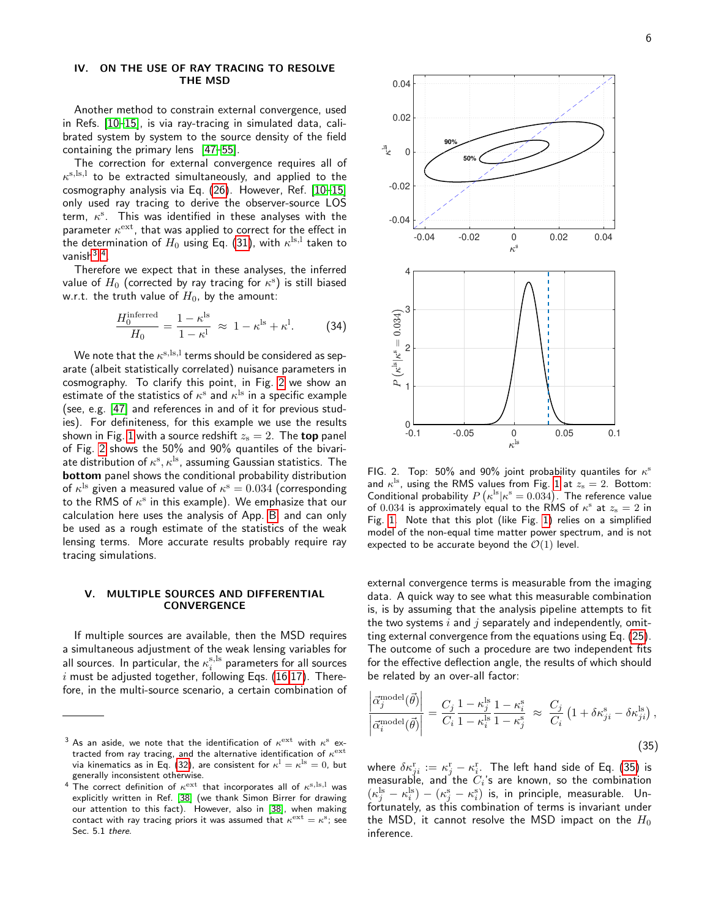## <span id="page-5-0"></span>IV. ON THE USE OF RAY TRACING TO RESOLVE THE MSD

Another method to constrain external convergence, used in Refs. [\[10–](#page-14-1)[15\]](#page-14-2), is via ray-tracing in simulated data, calibrated system by system to the source density of the field containing the primary lens [\[47](#page-14-30)[–55\]](#page-15-0).

The correction for external convergence requires all of  $\kappa^{\rm s, ls, l}$  to be extracted simultaneously, and applied to the cosmography analysis via Eq. [\(26\)](#page-3-3). However, Ref. [\[10](#page-14-1)[–15\]](#page-14-2) only used ray tracing to derive the observer-source LOS term,  $\kappa^s$ . This was identified in these analyses with the parameter  $\kappa^{\rm ext}$ , that was applied to correct for the effect in the determination of  $H_0$  using Eq. [\(31\)](#page-4-5), with  $\kappa^{\rm ls, l}$  taken to vanish<sup>[3](#page-5-2)4</sup>.

Therefore we expect that in these analyses, the inferred value of  $H_0$  (corrected by ray tracing for  $\kappa^{\mathrm{s}}$ ) is still biased w.r.t. the truth value of  $H_0$ , by the amount:

$$
\frac{H_0^{\text{inferred}}}{H_0} = \frac{1 - \kappa^{\text{ls}}}{1 - \kappa^{\text{l}}} \approx 1 - \kappa^{\text{ls}} + \kappa^{\text{l}}.
$$
 (34)

We note that the  $\kappa^{\rm s, ls, l}$  terms should be considered as separate (albeit statistically correlated) nuisance parameters in cosmography. To clarify this point, in Fig. [2](#page-5-4) we show an estimate of the statistics of  $\kappa^{\mathrm{s}}$  and  $\kappa^{\mathrm{ls}}$  in a specific example (see, e.g. [\[47\]](#page-14-30) and references in and of it for previous studies). For definiteness, for this example we use the results shown in Fig. [1](#page-2-2) with a source redshift  $z_{\rm s}=2$ . The top panel of Fig. [2](#page-5-4) shows the 50% and 90% quantiles of the bivariate distribution of  $\kappa^{\mathrm{s}}, \kappa^{\mathrm{ls}}$ , assuming Gaussian statistics. The bottom panel shows the conditional probability distribution of  $\kappa^{\rm ls}$  given a measured value of  $\kappa^{\rm s}=0.034$  (corresponding to the RMS of  $\kappa^{\mathrm{s}}$  in this example). We emphasize that our calculation here uses the analysis of App. [B,](#page-10-0) and can only be used as a rough estimate of the statistics of the weak lensing terms. More accurate results probably require ray tracing simulations.

# <span id="page-5-1"></span>V. MULTIPLE SOURCES AND DIFFERENTIAL **CONVERGENCE**

If multiple sources are available, then the MSD requires a simultaneous adjustment of the weak lensing variables for all sources. In particular, the  $\kappa_i^{\rm s, ls}$  parameters for all sources  $i$  must be adjusted together, following Eqs. [\(16,17\)](#page-3-2). Therefore, in the multi-source scenario, a certain combination of



<span id="page-5-4"></span>FIG. 2. Top: 50% and 90% joint probability quantiles for  $\kappa^{\rm s}$ and  $\kappa^{\rm ls}$ , using the RMS values from Fig. [1](#page-2-2) at  $z_{\rm s}=2$ . Bottom: Conditional probability  $P\left(\kappa^{\text{ls}}|\kappa^{\text{s}}=0.034\right)$ . The reference value of  $0.034$  is approximately equal to the RMS of  $\kappa^{\rm s}$  at  $z_{\rm s}=2$  in Fig. [1.](#page-2-2) Note that this plot (like Fig. [1\)](#page-2-2) relies on a simplified model of the non-equal time matter power spectrum, and is not expected to be accurate beyond the  $\mathcal{O}(1)$  level.

external convergence terms is measurable from the imaging data. A quick way to see what this measurable combination is, is by assuming that the analysis pipeline attempts to fit the two systems  $i$  and  $j$  separately and independently, omitting external convergence from the equations using Eq. [\(25\)](#page-3-4). The outcome of such a procedure are two independent fits for the effective deflection angle, the results of which should be related by an over-all factor:

<span id="page-5-5"></span>
$$
\left| \frac{\vec{\alpha}_j^{\text{model}}(\vec{\theta})}{\vec{\alpha}_i^{\text{model}}(\vec{\theta})} \right| = \frac{C_j}{C_i} \frac{1 - \kappa_j^{\text{ls}}}{1 - \kappa_i^{\text{ls}}} \frac{1 - \kappa_i^{\text{s}}}{1 - \kappa_j^{\text{s}}} \approx \frac{C_j}{C_i} \left( 1 + \delta \kappa_{ji}^{\text{s}} - \delta \kappa_{ji}^{\text{ls}} \right),\tag{35}
$$

where  $\delta \kappa_{ji}^{\mathrm{r}} := \kappa_j^{\mathrm{r}} - \kappa_i^{\mathrm{r}}.$  The left hand side of Eq. [\(35\)](#page-5-5) is measurable, and the  $C_i$ 's are known, so the combination  $(\kappa_j^{\rm ls} - \kappa_i^{\rm ls}) - (\kappa_j^{\rm s} - \kappa_i^{\rm s})$  is, in principle, measurable. Unfortunately, as this combination of terms is invariant under the MSD, it cannot resolve the MSD impact on the  $H_0$ inference.

<span id="page-5-2"></span> $^3$  As an aside, we note that the identification of  $\kappa^{\rm ext}$  with  $\kappa^{\rm s}$  extracted from ray tracing, and the alternative identification of  $\kappa^{\rm ext}$ via kinematics as in Eq. [\(32\)](#page-4-4), are consistent for  $\kappa^{\rm l}=\kappa^{\rm ls}=0$ , but generally inconsistent otherwise.

<span id="page-5-3"></span><sup>&</sup>lt;sup>4</sup> The correct definition of  $\kappa^{\rm ext}$  that incorporates all of  $\kappa^{\rm s, ls, l}$  was explicitly written in Ref. [\[38\]](#page-14-18) (we thank Simon Birrer for drawing our attention to this fact). However, also in [\[38\]](#page-14-18), when making contact with ray tracing priors it was assumed that  $\kappa^{\rm ext}=\kappa^{\rm s};$  see Sec. 5.1 there.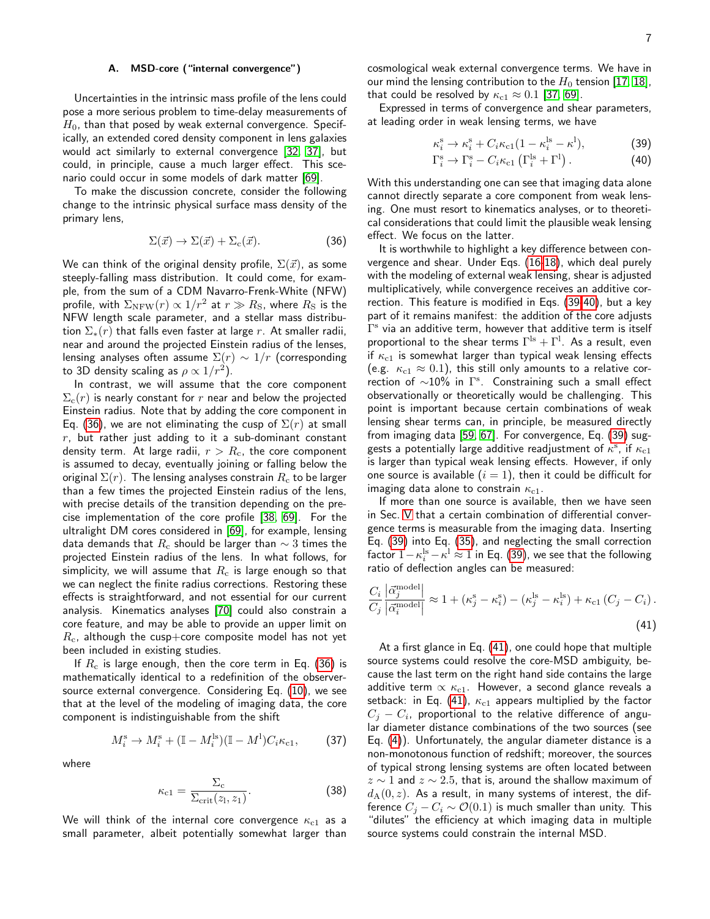# <span id="page-6-0"></span>A. MSD-core ("internal convergence")

Uncertainties in the intrinsic mass profile of the lens could pose a more serious problem to time-delay measurements of  $H_0$ , than that posed by weak external convergence. Specifically, an extended cored density component in lens galaxies would act similarly to external convergence [\[32,](#page-14-20) [37\]](#page-14-17), but could, in principle, cause a much larger effect. This scenario could occur in some models of dark matter [\[69\]](#page-15-13).

To make the discussion concrete, consider the following change to the intrinsic physical surface mass density of the primary lens,

<span id="page-6-1"></span>
$$
\Sigma(\vec{x}) \to \Sigma(\vec{x}) + \Sigma_{\rm c}(\vec{x}). \tag{36}
$$

We can think of the original density profile,  $\Sigma(\vec{x})$ , as some steeply-falling mass distribution. It could come, for example, from the sum of a CDM Navarro-Frenk-White (NFW) profile, with  $\Sigma_{\rm NFW}(r) \propto 1/r^2$  at  $r \gg R_{\rm S}$ , where  $R_{\rm S}$  is the NFW length scale parameter, and a stellar mass distribution  $\Sigma_*(r)$  that falls even faster at large r. At smaller radii, near and around the projected Einstein radius of the lenses, lensing analyses often assume  $\Sigma(r) \sim 1/r$  (corresponding to 3D density scaling as  $\rho \propto 1/r^2)$ .

In contrast, we will assume that the core component  $\Sigma_c(r)$  is nearly constant for r near and below the projected Einstein radius. Note that by adding the core component in Eq. [\(36\)](#page-6-1), we are not eliminating the cusp of  $\Sigma(r)$  at small  $r$ , but rather just adding to it a sub-dominant constant density term. At large radii,  $r > R_c$ , the core component is assumed to decay, eventually joining or falling below the original  $\Sigma(r)$ . The lensing analyses constrain  $R_c$  to be larger than a few times the projected Einstein radius of the lens, with precise details of the transition depending on the precise implementation of the core profile [\[38,](#page-14-18) [69\]](#page-15-13). For the ultralight DM cores considered in [\[69\]](#page-15-13), for example, lensing data demands that  $R_c$  should be larger than  $\sim$  3 times the projected Einstein radius of the lens. In what follows, for simplicity, we will assume that  $R_c$  is large enough so that we can neglect the finite radius corrections. Restoring these effects is straightforward, and not essential for our current analysis. Kinematics analyses [\[70\]](#page-15-14) could also constrain a core feature, and may be able to provide an upper limit on  $R_c$ , although the cusp+core composite model has not yet been included in existing studies.

If  $R_c$  is large enough, then the core term in Eq. [\(36\)](#page-6-1) is mathematically identical to a redefinition of the observersource external convergence. Considering Eq. [\(10\)](#page-2-4), we see that at the level of the modeling of imaging data, the core component is indistinguishable from the shift

$$
M_i^{\rm s} \to M_i^{\rm s} + (\mathbb{I} - M_i^{\rm ls})(\mathbb{I} - M^{\rm l})C_i \kappa_{\rm c1},\tag{37}
$$

where

$$
\kappa_{\rm c1} = \frac{\Sigma_{\rm c}}{\Sigma_{\rm crit}(z_{\rm l}, z_{\rm 1})}.
$$
 (38)

We will think of the internal core convergence  $\kappa_{c1}$  as a small parameter, albeit potentially somewhat larger than cosmological weak external convergence terms. We have in our mind the lensing contribution to the  $H_0$  tension [\[17,](#page-14-33) [18\]](#page-14-4), that could be resolved by  $\kappa_{c1} \approx 0.1$  [\[37,](#page-14-17) [69\]](#page-15-13).

Expressed in terms of convergence and shear parameters, at leading order in weak lensing terms, we have

<span id="page-6-2"></span>
$$
\kappa_i^{\rm s} \to \kappa_i^{\rm s} + C_i \kappa_{\rm c1} (1 - \kappa_i^{\rm ls} - \kappa^{\rm l}),\tag{39}
$$

$$
\Gamma_i^{\rm s} \to \Gamma_i^{\rm s} - C_i \kappa_{\rm c1} \left( \Gamma_i^{\rm ls} + \Gamma^{\rm l} \right). \tag{40}
$$

With this understanding one can see that imaging data alone cannot directly separate a core component from weak lensing. One must resort to kinematics analyses, or to theoretical considerations that could limit the plausible weak lensing effect. We focus on the latter.

It is worthwhile to highlight a key difference between convergence and shear. Under Eqs. [\(16-18\)](#page-3-2), which deal purely with the modeling of external weak lensing, shear is adjusted multiplicatively, while convergence receives an additive correction. This feature is modified in Eqs. [\(39-40\)](#page-6-2), but a key part of it remains manifest: the addition of the core adjusts  $\Gamma^{\rm s}$  via an additive term, however that additive term is itself proportional to the shear terms  $\Gamma^{\rm ls} + \Gamma^{\rm l}$ . As a result, even if  $\kappa_{\rm c1}$  is somewhat larger than typical weak lensing effects (e.g.  $\kappa_{c1} \approx 0.1$ ), this still only amounts to a relative correction of  $\sim$ 10% in  $\Gamma$ <sup>s</sup>. Constraining such a small effect observationally or theoretically would be challenging. This point is important because certain combinations of weak lensing shear terms can, in principle, be measured directly from imaging data [\[59,](#page-15-3) [67\]](#page-15-11). For convergence, Eq. [\(39\)](#page-6-2) suggests a potentially large additive readjustment of  $\kappa^{\mathrm{s}}$ , if  $\kappa_{\mathrm{c}1}$ is larger than typical weak lensing effects. However, if only one source is available  $(i = 1)$ , then it could be difficult for imaging data alone to constrain  $\kappa_{c1}$ .

If more than one source is available, then we have seen in Sec. [V](#page-5-1) that a certain combination of differential convergence terms is measurable from the imaging data. Inserting Eq. [\(39\)](#page-6-2) into Eq. [\(35\)](#page-5-5), and neglecting the small correction factor  $1-\kappa_i^{\rm ls}-\kappa^{\rm l} \approx 1$  in Eq. [\(39\)](#page-6-2), we see that the following ratio of deflection angles can be measured:

<span id="page-6-3"></span>
$$
\frac{C_i}{C_j} \frac{|\vec{\alpha}_j^{\text{model}}|}{|\vec{\alpha}_i^{\text{model}}|} \approx 1 + (\kappa_j^{\text{s}} - \kappa_i^{\text{s}}) - (\kappa_j^{\text{ls}} - \kappa_i^{\text{ls}}) + \kappa_{\text{c1}} (C_j - C_i) \,. \tag{41}
$$

At a first glance in Eq. [\(41\)](#page-6-3), one could hope that multiple source systems could resolve the core-MSD ambiguity, because the last term on the right hand side contains the large additive term  $\propto \kappa_{\rm c1}$ . However, a second glance reveals a setback: in Eq. [\(41\)](#page-6-3),  $\kappa_{c1}$  appears multiplied by the factor  $C_j - C_i$ , proportional to the relative difference of angular diameter distance combinations of the two sources (see Eq. [\(4\)](#page-2-0)). Unfortunately, the angular diameter distance is a non-monotonous function of redshift; moreover, the sources of typical strong lensing systems are often located between  $z \sim 1$  and  $z \sim 2.5$ , that is, around the shallow maximum of  $d_A(0, z)$ . As a result, in many systems of interest, the difference  $C_i - C_i \sim \mathcal{O}(0.1)$  is much smaller than unity. This "dilutes" the efficiency at which imaging data in multiple source systems could constrain the internal MSD.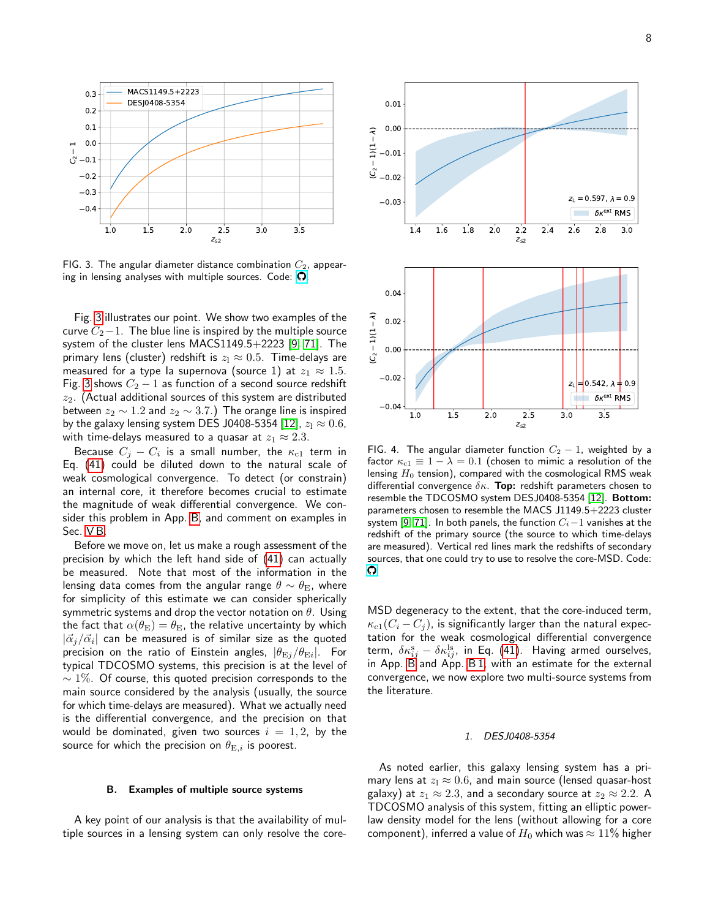

<span id="page-7-2"></span>FIG. 3. The angular diameter distance combination  $C_2$ , appearing in lensing analyses with multiple sources. Code:  $\Omega$ .

Fig. [3](#page-7-2) illustrates our point. We show two examples of the curve  $C_2-1$ . The blue line is inspired by the multiple source system of the cluster lens MACS1149.5+2223 [\[9,](#page-14-0) [71\]](#page-15-15). The primary lens (cluster) redshift is  $z_1 \approx 0.5$ . Time-delays are measured for a type la supernova (source 1) at  $z_1 \approx 1.5$ . Fig. [3](#page-7-2) shows  $C_2 - 1$  as function of a second source redshift  $z_2$ . (Actual additional sources of this system are distributed between  $z_2 \sim 1.2$  and  $z_2 \sim 3.7$ .) The orange line is inspired by the galaxy lensing system DES J0408-5354 [\[12\]](#page-14-24),  $z_1 \approx 0.6$ , with time-delays measured to a quasar at  $z_1 \approx 2.3$ .

Because  $C_j - C_i$  is a small number, the  $\kappa_{\rm c1}$  term in Eq. [\(41\)](#page-6-3) could be diluted down to the natural scale of weak cosmological convergence. To detect (or constrain) an internal core, it therefore becomes crucial to estimate the magnitude of weak differential convergence. We consider this problem in App. [B,](#page-10-0) and comment on examples in Sec. [V B.](#page-7-0)

Before we move on, let us make a rough assessment of the precision by which the left hand side of [\(41\)](#page-6-3) can actually be measured. Note that most of the information in the lensing data comes from the angular range  $\theta \sim \theta_{\rm E}$ , where for simplicity of this estimate we can consider spherically symmetric systems and drop the vector notation on  $\theta$ . Using the fact that  $\alpha(\theta_{\rm E}) = \theta_{\rm E}$ , the relative uncertainty by which  $|{\vec \alpha}_j/{\vec \alpha}_i|$  can be measured is of similar size as the quoted precision on the ratio of Einstein angles,  $|\theta_{\rm Ej}/\theta_{\rm Ei}|$ . For typical TDCOSMO systems, this precision is at the level of  $\sim$  1%. Of course, this quoted precision corresponds to the main source considered by the analysis (usually, the source for which time-delays are measured). What we actually need is the differential convergence, and the precision on that would be dominated, given two sources  $i = 1, 2$ , by the source for which the precision on  $\theta_{\mathrm{E},i}$  is poorest.

#### <span id="page-7-0"></span>B. Examples of multiple source systems

A key point of our analysis is that the availability of multiple sources in a lensing system can only resolve the core-



<span id="page-7-3"></span>FIG. 4. The angular diameter function  $C_2 - 1$ , weighted by a factor  $\kappa_{c1} \equiv 1 - \lambda = 0.1$  (chosen to mimic a resolution of the lensing  $H_0$  tension), compared with the cosmological RMS weak differential convergence  $\delta \kappa$ . Top: redshift parameters chosen to resemble the TDCOSMO system DESJ0408-5354 [\[12\]](#page-14-24). Bottom: parameters chosen to resemble the MACS J1149.5+2223 cluster system [\[9,](#page-14-0) [71\]](#page-15-15). In both panels, the function  $C_i-1$  vanishes at the redshift of the primary source (the source to which time-delays are measured). Vertical red lines mark the redshifts of secondary sources, that one could try to use to resolve the core-MSD. Code:  $\Omega$ 

MSD degeneracy to the extent, that the core-induced term,  $\kappa_{c1}(C_i - C_j)$ , is significantly larger than the natural expectation for the weak cosmological differential convergence term,  $\delta \kappa_{ij}^{\mathrm{s}}-\delta \kappa_{ij}^{\mathrm{ls}},$  in Eq. [\(41\)](#page-6-3). Having armed ourselves, in App. [B](#page-10-0) and App. [B 1,](#page-10-1) with an estimate for the external convergence, we now explore two multi-source systems from the literature.

# <span id="page-7-1"></span>1. DESJ0408-5354

As noted earlier, this galaxy lensing system has a primary lens at  $z_1 \approx 0.6$ , and main source (lensed quasar-host galaxy) at  $z_1 \approx 2.3$ , and a secondary source at  $z_2 \approx 2.2$ . A TDCOSMO analysis of this system, fitting an elliptic powerlaw density model for the lens (without allowing for a core component), inferred a value of  $H_0$  which was  $\approx 11\%$  higher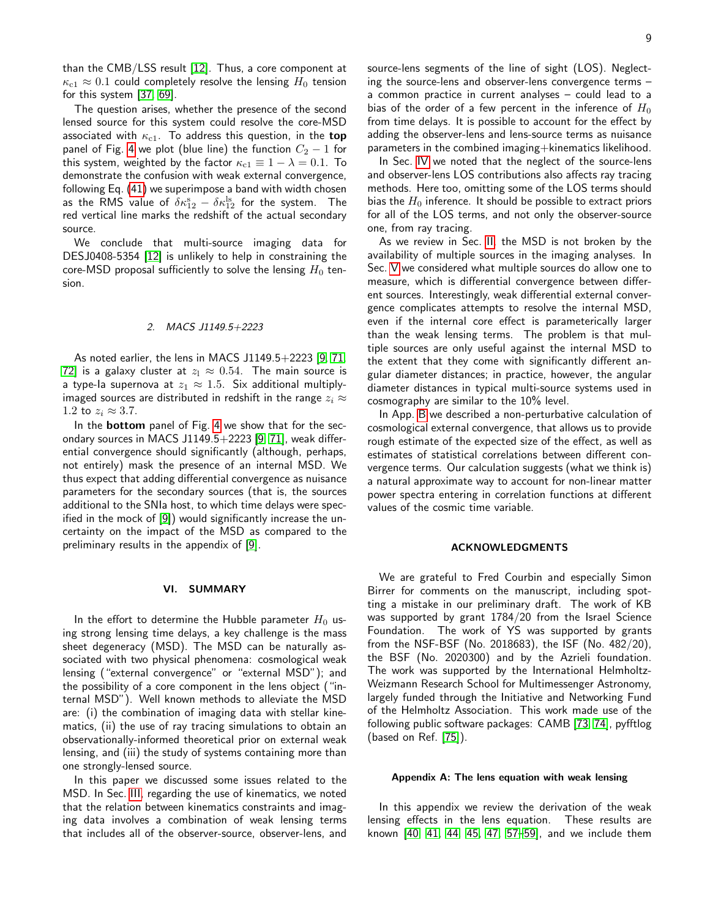than the CMB/LSS result [\[12\]](#page-14-24). Thus, a core component at  $\kappa_{\rm c1} \approx 0.1$  could completely resolve the lensing  $H_0$  tension for this system [\[37,](#page-14-17) [69\]](#page-15-13).

The question arises, whether the presence of the second lensed source for this system could resolve the core-MSD associated with  $\kappa_{\rm c1}$ . To address this question, in the top panel of Fig. [4](#page-7-3) we plot (blue line) the function  $C_2 - 1$  for this system, weighted by the factor  $\kappa_{c1} \equiv 1 - \lambda = 0.1$ . To demonstrate the confusion with weak external convergence, following Eq. [\(41\)](#page-6-3) we superimpose a band with width chosen as the RMS value of  $\delta \kappa_{12}^{\mathrm{s}} - \delta \kappa_{12}^{\mathrm{ls}}$  for the system. The red vertical line marks the redshift of the actual secondary source.

We conclude that multi-source imaging data for DESJ0408-5354 [\[12\]](#page-14-24) is unlikely to help in constraining the core-MSD proposal sufficiently to solve the lensing  $H_0$  tension.

### <span id="page-8-0"></span>2. MACS J1149.5+2223

As noted earlier, the lens in MACS J1149.5+2223 [\[9,](#page-14-0) [71,](#page-15-15) [72\]](#page-15-16) is a galaxy cluster at  $z_1 \approx 0.54$ . The main source is a type-la supernova at  $z_1 \approx 1.5$ . Six additional multiplyimaged sources are distributed in redshift in the range  $z_i \approx$ 1.2 to  $z_i \approx 3.7$ .

In the **bottom** panel of Fig. [4](#page-7-3) we show that for the secondary sources in MACS J1149.5+2223 [\[9,](#page-14-0) [71\]](#page-15-15), weak differential convergence should significantly (although, perhaps, not entirely) mask the presence of an internal MSD. We thus expect that adding differential convergence as nuisance parameters for the secondary sources (that is, the sources additional to the SNIa host, to which time delays were specified in the mock of [\[9\]](#page-14-0)) would significantly increase the uncertainty on the impact of the MSD as compared to the preliminary results in the appendix of [\[9\]](#page-14-0).

### <span id="page-8-1"></span>VI. SUMMARY

In the effort to determine the Hubble parameter  $H_0$  using strong lensing time delays, a key challenge is the mass sheet degeneracy (MSD). The MSD can be naturally associated with two physical phenomena: cosmological weak lensing ("external convergence" or "external MSD"); and the possibility of a core component in the lens object ("internal MSD"). Well known methods to alleviate the MSD are: (i) the combination of imaging data with stellar kinematics, (ii) the use of ray tracing simulations to obtain an observationally-informed theoretical prior on external weak lensing, and (iii) the study of systems containing more than one strongly-lensed source.

In this paper we discussed some issues related to the MSD. In Sec. [III,](#page-3-0) regarding the use of kinematics, we noted that the relation between kinematics constraints and imaging data involves a combination of weak lensing terms that includes all of the observer-source, observer-lens, and

source-lens segments of the line of sight (LOS). Neglecting the source-lens and observer-lens convergence terms – a common practice in current analyses – could lead to a bias of the order of a few percent in the inference of  $H_0$ from time delays. It is possible to account for the effect by adding the observer-lens and lens-source terms as nuisance parameters in the combined imaging+kinematics likelihood.

In Sec. [IV](#page-5-0) we noted that the neglect of the source-lens and observer-lens LOS contributions also affects ray tracing methods. Here too, omitting some of the LOS terms should bias the  $H_0$  inference. It should be possible to extract priors for all of the LOS terms, and not only the observer-source one, from ray tracing.

As we review in Sec. [II,](#page-1-0) the MSD is not broken by the availability of multiple sources in the imaging analyses. In Sec. [V](#page-5-1) we considered what multiple sources do allow one to measure, which is differential convergence between different sources. Interestingly, weak differential external convergence complicates attempts to resolve the internal MSD, even if the internal core effect is parameterically larger than the weak lensing terms. The problem is that multiple sources are only useful against the internal MSD to the extent that they come with significantly different angular diameter distances; in practice, however, the angular diameter distances in typical multi-source systems used in cosmography are similar to the 10% level.

In App. [B](#page-10-0) we described a non-perturbative calculation of cosmological external convergence, that allows us to provide rough estimate of the expected size of the effect, as well as estimates of statistical correlations between different convergence terms. Our calculation suggests (what we think is) a natural approximate way to account for non-linear matter power spectra entering in correlation functions at different values of the cosmic time variable.

#### <span id="page-8-2"></span>ACKNOWLEDGMENTS

We are grateful to Fred Courbin and especially Simon Birrer for comments on the manuscript, including spotting a mistake in our preliminary draft. The work of KB was supported by grant 1784/20 from the Israel Science Foundation. The work of YS was supported by grants from the NSF-BSF (No. 2018683), the ISF (No. 482/20), the BSF (No. 2020300) and by the Azrieli foundation. The work was supported by the International Helmholtz-Weizmann Research School for Multimessenger Astronomy, largely funded through the Initiative and Networking Fund of the Helmholtz Association. This work made use of the following public software packages: CAMB [\[73,](#page-15-17) [74\]](#page-15-18), pyfftlog (based on Ref. [\[75\]](#page-15-19)).

#### <span id="page-8-3"></span>Appendix A: The lens equation with weak lensing

In this appendix we review the derivation of the weak lensing effects in the lens equation. These results are known [\[40,](#page-14-22) [41,](#page-14-23) [44,](#page-14-28) [45,](#page-14-31) [47,](#page-14-30) [57](#page-15-2)[–59\]](#page-15-3), and we include them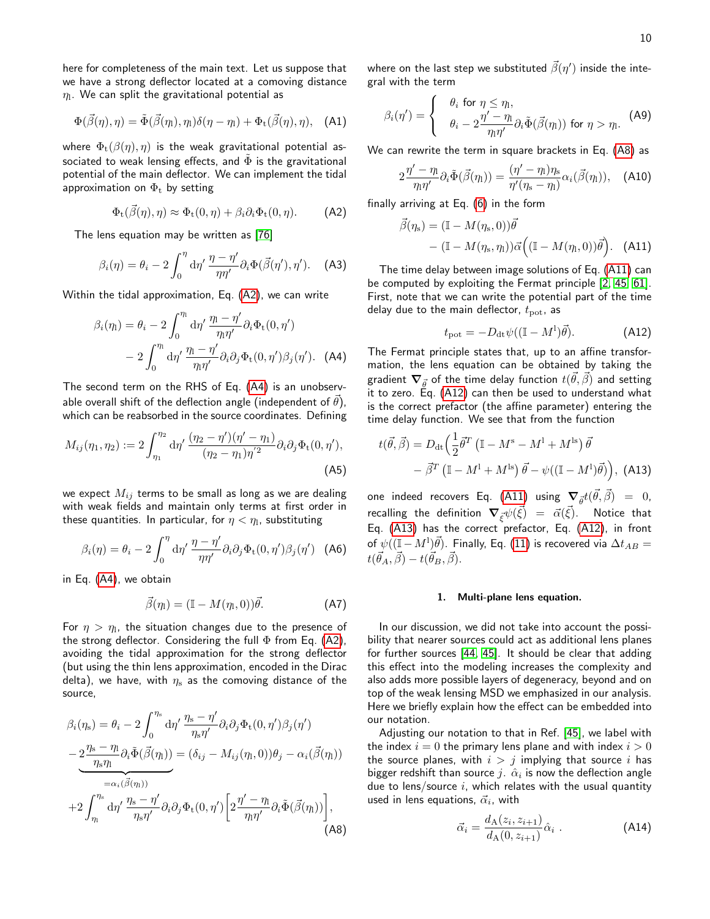here for completeness of the main text. Let us suppose that we have a strong deflector located at a comoving distance  $\eta_{\rm l}.$  We can split the gravitational potential as

$$
\Phi(\vec{\beta}(\eta), \eta) = \tilde{\Phi}(\vec{\beta}(\eta), \eta_1)\delta(\eta - \eta_1) + \Phi_t(\vec{\beta}(\eta), \eta), \quad \text{(A1)}
$$

where  $\Phi_t(\beta(\eta), \eta)$  is the weak gravitational potential associated to weak lensing effects, and  $\Phi$  is the gravitational potential of the main deflector. We can implement the tidal approximation on  $\Phi_t$  by setting

<span id="page-9-1"></span>
$$
\Phi_{t}(\vec{\beta}(\eta), \eta) \approx \Phi_{t}(0, \eta) + \beta_{i}\partial_{i}\Phi_{t}(0, \eta). \tag{A2}
$$

The lens equation may be written as [\[76\]](#page-15-20)

$$
\beta_i(\eta) = \theta_i - 2 \int_0^{\eta} d\eta' \, \frac{\eta - \eta'}{\eta \eta'} \partial_i \Phi(\vec{\beta}(\eta'), \eta'). \quad \text{(A3)}
$$

Within the tidal approximation, Eq. [\(A2\)](#page-9-1), we can write

<span id="page-9-2"></span>
$$
\beta_i(\eta_1) = \theta_i - 2 \int_0^{\eta_1} d\eta' \frac{\eta_1 - \eta'}{\eta_1 \eta'} \partial_i \Phi_t(0, \eta')
$$

$$
- 2 \int_0^{\eta_1} d\eta' \frac{\eta_1 - \eta'}{\eta_1 \eta'} \partial_i \partial_j \Phi_t(0, \eta') \beta_j(\eta'). \quad (A4)
$$

The second term on the RHS of Eq. [\(A4\)](#page-9-2) is an unobservable overall shift of the deflection angle (independent of  $\vec{\theta}$ ), which can be reabsorbed in the source coordinates. Defining

<span id="page-9-7"></span>
$$
M_{ij}(\eta_1, \eta_2) := 2 \int_{\eta_1}^{\eta_2} d\eta' \, \frac{(\eta_2 - \eta')(\eta' - \eta_1)}{(\eta_2 - \eta_1)\eta'^2} \partial_i \partial_j \Phi_t(0, \eta'),
$$
\n(A5)

we expect  $M_{ij}$  terms to be small as long as we are dealing with weak fields and maintain only terms at first order in these quantities. In particular, for  $\eta<\eta_\mathrm{l}$ , substituting

$$
\beta_i(\eta) = \theta_i - 2 \int_0^{\eta} d\eta' \frac{\eta - \eta'}{\eta \eta'} \partial_i \partial_j \Phi_t(0, \eta') \beta_j(\eta') \quad \text{(A6)}
$$

in Eq. [\(A4\)](#page-9-2), we obtain

$$
\vec{\beta}(\eta_1) = (\mathbb{I} - M(\eta_1, 0))\vec{\theta}.\tag{A7}
$$

For  $\eta > \eta_\text{l}$ , the situation changes due to the presence of the strong deflector. Considering the full  $\Phi$  from Eq. [\(A2\)](#page-9-1), avoiding the tidal approximation for the strong deflector (but using the thin lens approximation, encoded in the Dirac delta), we have, with  $\eta_s$  as the comoving distance of the source,

$$
\beta_i(\eta_s) = \theta_i - 2 \int_0^{\eta_s} d\eta' \frac{\eta_s - \eta'}{\eta_s \eta'} \partial_i \partial_j \Phi_t(0, \eta') \beta_j(\eta')
$$
  
\n
$$
-2 \frac{\eta_s - \eta_l}{\eta_s \eta_l} \partial_i \tilde{\Phi}(\vec{\beta}(\eta_l)) = (\delta_{ij} - M_{ij}(\eta_l, 0)) \theta_j - \alpha_i(\vec{\beta}(\eta_l))
$$
  
\n
$$
+2 \int_{\eta_l}^{\eta_s} d\eta' \frac{\eta_s - \eta'}{\eta_s \eta'} \partial_i \partial_j \Phi_t(0, \eta') \left[ 2 \frac{\eta' - \eta_l}{\eta_l \eta'} \partial_i \tilde{\Phi}(\vec{\beta}(\eta_l)) \right],
$$
\n(A8)

where on the last step we substituted  $\vec{\beta}(\eta')$  inside the integral with the term

$$
\beta_i(\eta') = \begin{cases} \theta_i \text{ for } \eta \leq \eta_1, \\ \theta_i - 2\frac{\eta' - \eta_1}{\eta_1 \eta'} \partial_i \tilde{\Phi}(\vec{\beta}(\eta_1)) \text{ for } \eta > \eta_1. \end{cases}
$$
(A9)

We can rewrite the term in square brackets in Eq. [\(A8\)](#page-9-3) as

$$
2\frac{\eta'-\eta_1}{\eta_1\eta'}\partial_i\tilde{\Phi}(\vec{\beta}(\eta_1)) = \frac{(\eta'-\eta_1)\eta_s}{\eta'(\eta_s-\eta_1)}\alpha_i(\vec{\beta}(\eta_1)), \quad \text{(A10)}
$$

finally arriving at Eq. [\(6\)](#page-2-6) in the form

<span id="page-9-4"></span>
$$
\vec{\beta}(\eta_s) = (\mathbb{I} - M(\eta_s, 0))\vec{\theta} - (\mathbb{I} - M(\eta_s, \eta_l))\vec{\alpha}((\mathbb{I} - M(\eta_l, 0))\vec{\theta}).
$$
 (A11)

The time delay between image solutions of Eq. [\(A11\)](#page-9-4) can be computed by exploiting the Fermat principle [\[2,](#page-12-5) [45,](#page-14-31) [61\]](#page-15-6). First, note that we can write the potential part of the time delay due to the main deflector,  $t_{\text{pot}}$ , as

<span id="page-9-5"></span>
$$
t_{\rm pot} = -D_{\rm dt} \psi((\mathbb{I} - M^1)\vec{\theta}). \tag{A12}
$$

The Fermat principle states that, up to an affine transformation, the lens equation can be obtained by taking the gradient  $\boldsymbol{\nabla}_{\vec{\theta}}$  of the time delay function  $t(\vec{\theta},\vec{\beta})$  and setting it to zero. Eq. [\(A12\)](#page-9-5) can then be used to understand what is the correct prefactor (the affine parameter) entering the time delay function. We see that from the function

<span id="page-9-6"></span>
$$
t(\vec{\theta}, \vec{\beta}) = D_{\rm dt} \left( \frac{1}{2} \vec{\theta}^T \left( \mathbb{I} - M^{\rm s} - M^{\rm l} + M^{\rm ls} \right) \vec{\theta} - \vec{\beta}^T \left( \mathbb{I} - M^{\rm l} + M^{\rm ls} \right) \vec{\theta} - \psi \left( (\mathbb{I} - M^{\rm l}) \vec{\theta} \right) \right), \text{ (A13)}
$$

one indeed recovers Eq. [\(A11\)](#page-9-4) using  $\boldsymbol{\nabla}_{\vec{\theta}}t(\vec{\theta},\vec{\beta}) = 0$ , recalling the definition  $\bm{\nabla}_{\vec{\xi}} \psi(\vec{\xi}) ~=~ \vec{\alpha}(\vec{\xi}).$  Notice that Eq. [\(A13\)](#page-9-6) has the correct prefactor, Eq. [\(A12\)](#page-9-5), in front of  $\psi((\mathbb{I}-M^{1})\vec{\theta}).$  Finally, Eq.  $(11)$  is recovered via  $\Delta t_{AB}=$  $t(\vec{\theta}_A, \vec{\beta}) - t(\vec{\theta}_B, \vec{\beta}).$ 

### <span id="page-9-0"></span>1. Multi-plane lens equation.

In our discussion, we did not take into account the possibility that nearer sources could act as additional lens planes for further sources [\[44,](#page-14-28) [45\]](#page-14-31). It should be clear that adding this effect into the modeling increases the complexity and also adds more possible layers of degeneracy, beyond and on top of the weak lensing MSD we emphasized in our analysis. Here we briefly explain how the effect can be embedded into our notation.

<span id="page-9-3"></span>Adjusting our notation to that in Ref. [\[45\]](#page-14-31), we label with the index  $i = 0$  the primary lens plane and with index  $i > 0$ the source planes, with  $i > j$  implying that source i has bigger redshift than source  $j_+\hat\alpha_i$  is now the deflection angle due to lens/source  $i$ , which relates with the usual quantity used in lens equations,  $\vec{\alpha}_i$ , with

<span id="page-9-8"></span>
$$
\vec{\alpha}_i = \frac{d_{\mathcal{A}}(z_i, z_{i+1})}{d_{\mathcal{A}}(0, z_{i+1})} \hat{\alpha}_i .
$$
 (A14)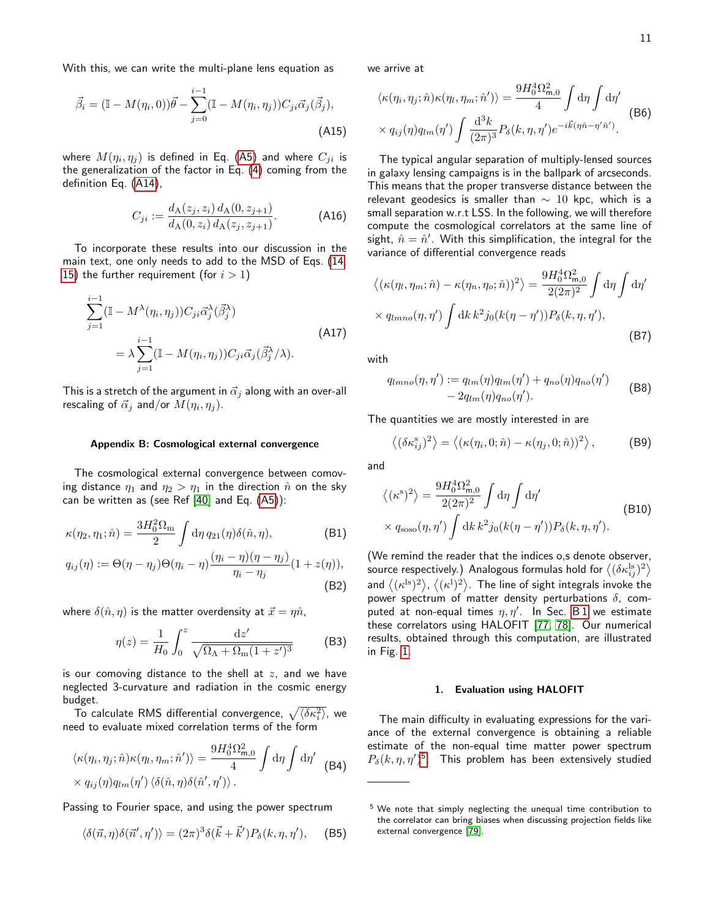With this, we can write the multi-plane lens equation as

$$
\vec{\beta}_i = (\mathbb{I} - M(\eta_i, 0))\vec{\theta} - \sum_{j=0}^{i-1} (\mathbb{I} - M(\eta_i, \eta_j)) C_{ji} \vec{\alpha}_j (\vec{\beta}_j),
$$
\n(A15)

where  $M(\eta_i,\eta_j)$  is defined in Eq. [\(A5\)](#page-9-7) and where  $C_{ji}$  is the generalization of the factor in Eq. [\(4\)](#page-2-0) coming from the definition Eq. [\(A14\)](#page-9-8),

$$
C_{ji} := \frac{d_{\mathcal{A}}(z_j, z_i) d_{\mathcal{A}}(0, z_{j+1})}{d_{\mathcal{A}}(0, z_i) d_{\mathcal{A}}(z_j, z_{j+1})}.
$$
 (A16)

To incorporate these results into our discussion in the main text, one only needs to add to the MSD of Eqs. [\(14,](#page-3-1) [15\)](#page-3-1) the further requirement (for  $i > 1$ )

$$
\sum_{j=1}^{i-1} (\mathbb{I} - M^{\lambda}(\eta_i, \eta_j)) C_{ji} \vec{\alpha}_j^{\lambda} (\vec{\beta}_j^{\lambda})
$$
  
=  $\lambda \sum_{j=1}^{i-1} (\mathbb{I} - M(\eta_i, \eta_j)) C_{ji} \vec{\alpha}_j (\vec{\beta}_j^{\lambda}/\lambda).$  (A17)

This is a stretch of the argument in  $\vec{\alpha}_j$  along with an over-all rescaling of  $\vec{\alpha}_j$  and/or  $M(\eta_i, \eta_j)$ .

#### <span id="page-10-0"></span>Appendix B: Cosmological external convergence

The cosmological external convergence between comoving distance  $\eta_1$  and  $\eta_2 > \eta_1$  in the direction  $\hat{n}$  on the sky can be written as (see Ref [\[40\]](#page-14-22) and Eq. [\(A5\)](#page-9-7)):

$$
\kappa(\eta_2, \eta_1; \hat{n}) = \frac{3H_0^2 \Omega_{\rm m}}{2} \int d\eta \, q_{21}(\eta) \delta(\hat{n}, \eta), \tag{B1}
$$

$$
q_{ij}(\eta) := \Theta(\eta - \eta_j)\Theta(\eta_i - \eta) \frac{(\eta_i - \eta)(\eta - \eta_j)}{\eta_i - \eta_j} (1 + z(\eta)),
$$
\n(B2)

where  $\delta(\hat{n}, \eta)$  is the matter overdensity at  $\vec{x} = \eta \hat{n}$ ,

$$
\eta(z) = \frac{1}{H_0} \int_0^z \frac{\mathrm{d}z'}{\sqrt{\Omega_\Lambda + \Omega_\text{m}(1+z')^3}} \tag{B3}
$$

is our comoving distance to the shell at  $z$ , and we have neglected 3-curvature and radiation in the cosmic energy budget.

To calculate RMS differential convergence,  $\sqrt{\langle\delta\kappa_i^2\rangle}$ , we need to evaluate mixed correlation terms of the form

$$
\langle \kappa(\eta_i, \eta_j; \hat{n}) \kappa(\eta_l, \eta_m; \hat{n}') \rangle = \frac{9H_0^4 \Omega_{\mathsf{m},0}^2}{4} \int d\eta \int d\eta' \quad \text{(B4)}
$$

$$
\times q_{ij}(\eta) q_{lm}(\eta') \langle \delta(\hat{n}, \eta) \delta(\hat{n}', \eta') \rangle.
$$

Passing to Fourier space, and using the power spectrum

$$
\langle \delta(\vec{n},\eta)\delta(\vec{n}',\eta')\rangle = (2\pi)^3 \delta(\vec{k}+\vec{k}')P_\delta(k,\eta,\eta'), \quad \text{(B5)}
$$

we arrive at

$$
\langle \kappa(\eta_i, \eta_j; \hat{n}) \kappa(\eta_l, \eta_m; \hat{n}') \rangle = \frac{9H_0^4 \Omega_{\mathsf{m},0}^2}{4} \int d\eta \int d\eta' \tag{B6}
$$

$$
\times q_{ij}(\eta) q_{lm}(\eta') \int \frac{d^3k}{(2\pi)^3} P_\delta(k, \eta, \eta') e^{-i\vec{k}(\eta \hat{n} - \eta' \hat{n}')}.
$$

The typical angular separation of multiply-lensed sources in galaxy lensing campaigns is in the ballpark of arcseconds. This means that the proper transverse distance between the relevant geodesics is smaller than  $\sim$  10 kpc, which is a small separation w.r.t LSS. In the following, we will therefore compute the cosmological correlators at the same line of sight,  $\hat{n} = \hat{n}'$ . With this simplification, the integral for the variance of differential convergence reads

$$
\langle (\kappa(\eta_l, \eta_m; \hat{n}) - \kappa(\eta_n, \eta_o; \hat{n}))^2 \rangle = \frac{9H_0^4 \Omega_{m,0}^2}{2(2\pi)^2} \int d\eta \int d\eta'
$$
  
 
$$
\times q_{lmno}(\eta, \eta') \int dk \, k^2 j_0(k(\eta - \eta')) P_\delta(k, \eta, \eta'), \tag{B7}
$$

with

<span id="page-10-3"></span>
$$
q_{lmno}(\eta, \eta') := q_{lm}(\eta)q_{lm}(\eta') + q_{no}(\eta)q_{no}(\eta')
$$
  
- 2q\_{lm}(\eta)q\_{no}(\eta'). (B8)

The quantities we are mostly interested in are

<span id="page-10-4"></span>
$$
\langle (\delta \kappa_{ij}^s)^2 \rangle = \langle (\kappa(\eta_i, 0; \hat{n}) - \kappa(\eta_j, 0; \hat{n}))^2 \rangle, \tag{B9}
$$

and

$$
\langle (\kappa^s)^2 \rangle = \frac{9H_0^4 \Omega_{m,0}^2}{2(2\pi)^2} \int d\eta \int d\eta' \tag{B10}
$$
  
 
$$
\times q_{\rm soso}(\eta, \eta') \int dk \, k^2 j_0(k(\eta - \eta')) P_\delta(k, \eta, \eta').
$$

(We remind the reader that the indices o,s denote observer, source respectively.) Analogous formulas hold for  $\left\langle (\delta\kappa_{ij}^{\rm ls})^2 \right\rangle$ and  $\left\langle (\kappa^{\mathrm{ls}})^2 \right\rangle$ ,  $\left\langle (\kappa^{\mathrm{l}})^2 \right\rangle$ . The line of sight integrals invoke the power spectrum of matter density perturbations  $\delta$ , computed at non-equal times  $\eta, \eta'$ . In Sec. [B 1](#page-10-1) we estimate these correlators using HALOFIT [\[77,](#page-15-21) [78\]](#page-15-22). Our numerical results, obtained through this computation, are illustrated in Fig. [1.](#page-2-2)

# <span id="page-10-1"></span>1. Evaluation using HALOFIT

The main difficulty in evaluating expressions for the variance of the external convergence is obtaining a reliable estimate of the non-equal time matter power spectrum  $P_\delta(k,\eta,\eta')^5$  $P_\delta(k,\eta,\eta')^5$ . This problem has been extensively studied

<span id="page-10-2"></span> $5$  We note that simply neglecting the unequal time contribution to the correlator can bring biases when discussing projection fields like external convergence [\[79\]](#page-15-23).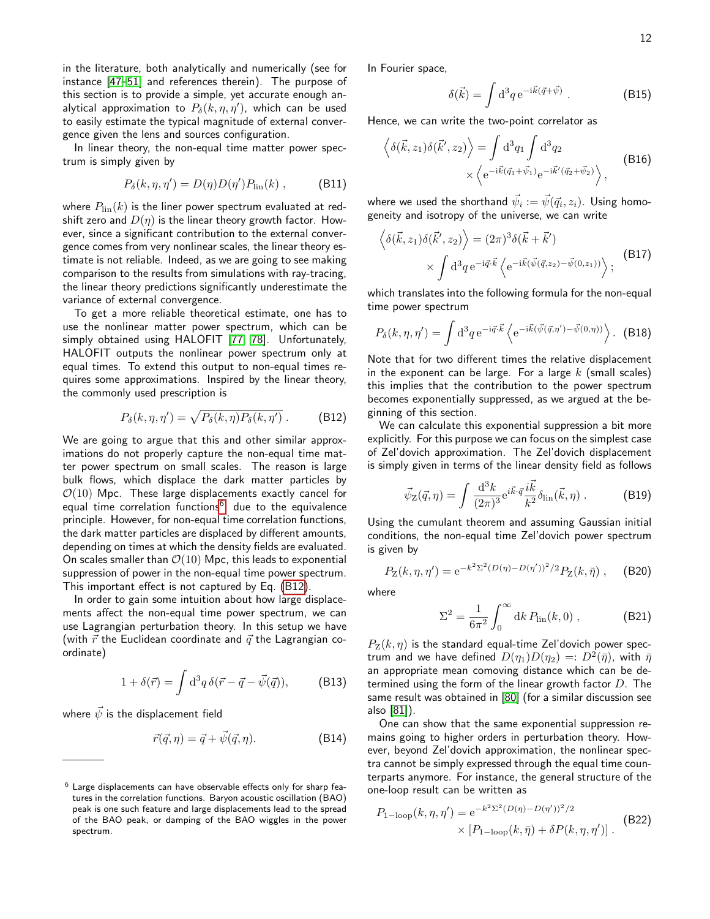in the literature, both analytically and numerically (see for instance [\[47–](#page-14-30)[51\]](#page-14-34) and references therein). The purpose of this section is to provide a simple, yet accurate enough analytical approximation to  $P_{\delta} (k,\eta,\eta^{\prime}),$  which can be used to easily estimate the typical magnitude of external convergence given the lens and sources configuration.

In linear theory, the non-equal time matter power spectrum is simply given by

<span id="page-11-2"></span>
$$
P_{\delta}(k, \eta, \eta') = D(\eta)D(\eta')P_{\text{lin}}(k) , \qquad \text{(B11)}
$$

where  $P_{\text{lin}}(k)$  is the liner power spectrum evaluated at redshift zero and  $D(\eta)$  is the linear theory growth factor. However, since a significant contribution to the external convergence comes from very nonlinear scales, the linear theory estimate is not reliable. Indeed, as we are going to see making comparison to the results from simulations with ray-tracing, the linear theory predictions significantly underestimate the variance of external convergence.

To get a more reliable theoretical estimate, one has to use the nonlinear matter power spectrum, which can be simply obtained using HALOFIT [\[77,](#page-15-21) [78\]](#page-15-22). Unfortunately, HALOFIT outputs the nonlinear power spectrum only at equal times. To extend this output to non-equal times requires some approximations. Inspired by the linear theory, the commonly used prescription is

<span id="page-11-1"></span>
$$
P_{\delta}(k,\eta,\eta') = \sqrt{P_{\delta}(k,\eta)P_{\delta}(k,\eta')}.
$$
 (B12)

We are going to argue that this and other similar approximations do not properly capture the non-equal time matter power spectrum on small scales. The reason is large bulk flows, which displace the dark matter particles by  $\mathcal{O}(10)$  Mpc. These large displacements exactly cancel for equal time correlation functions<sup>[6](#page-11-0)</sup>, due to the equivalence principle. However, for non-equal time correlation functions, the dark matter particles are displaced by different amounts, depending on times at which the density fields are evaluated. On scales smaller than  $\mathcal{O}(10)$  Mpc, this leads to exponential suppression of power in the non-equal time power spectrum. This important effect is not captured by Eq. [\(B12\)](#page-11-1).

In order to gain some intuition about how large displacements affect the non-equal time power spectrum, we can use Lagrangian perturbation theory. In this setup we have (with  $\vec{r}$  the Euclidean coordinate and  $\vec{q}$  the Lagrangian coordinate)

$$
1 + \delta(\vec{r}) = \int d^3q \,\delta(\vec{r} - \vec{q} - \vec{\psi}(\vec{q})), \qquad \text{(B13)}
$$

where  $\vec{\psi}$  is the displacement field

$$
\vec{r}(\vec{q},\eta) = \vec{q} + \vec{\psi}(\vec{q},\eta). \tag{B14}
$$

In Fourier space,

$$
\delta(\vec{k}) = \int d^3q \,\mathrm{e}^{-\mathrm{i}\vec{k}(\vec{q}+\vec{\psi})} \,. \tag{B15}
$$

Hence, we can write the two-point correlator as

$$
\left\langle \delta(\vec{k}, z_1) \delta(\vec{k}', z_2) \right\rangle = \int d^3q_1 \int d^3q_2
$$
  
 
$$
\times \left\langle e^{-i\vec{k}(\vec{q}_1 + \vec{\psi}_1)} e^{-i\vec{k}'(\vec{q}_2 + \vec{\psi}_2)} \right\rangle, \tag{B16}
$$

where we used the shorthand  $\vec{\psi_i} := \vec{\psi}(\vec{q_i},z_i).$  Using homogeneity and isotropy of the universe, we can write

$$
\left\langle \delta(\vec{k}, z_1) \delta(\vec{k}', z_2) \right\rangle = (2\pi)^3 \delta(\vec{k} + \vec{k}')
$$
  
 
$$
\times \int d^3q \, e^{-i\vec{q} \cdot \vec{k}} \left\langle e^{-i\vec{k}(\vec{\psi}(\vec{q}, z_2) - \vec{\psi}(0, z_1))} \right\rangle;
$$
 (B17)

which translates into the following formula for the non-equal time power spectrum

$$
P_{\delta}(k,\eta,\eta') = \int \mathrm{d}^3 q \,\mathrm{e}^{-\mathrm{i}\vec{q}\cdot\vec{k}} \left\langle \mathrm{e}^{-\mathrm{i}\vec{k}(\vec{\psi}(\vec{q},\eta')-\vec{\psi}(0,\eta))} \right\rangle. \tag{B18}
$$

Note that for two different times the relative displacement in the exponent can be large. For a large  $k$  (small scales) this implies that the contribution to the power spectrum becomes exponentially suppressed, as we argued at the beginning of this section.

We can calculate this exponential suppression a bit more explicitly. For this purpose we can focus on the simplest case of Zel'dovich approximation. The Zel'dovich displacement is simply given in terms of the linear density field as follows

$$
\vec{\psi}_\mathbf{Z}(\vec{q},\eta) = \int \frac{\mathrm{d}^3 k}{(2\pi)^3} e^{i\vec{k}\cdot\vec{q}} \frac{i\vec{k}}{k^2} \delta_{\text{lin}}(\vec{k},\eta) . \tag{B19}
$$

Using the cumulant theorem and assuming Gaussian initial conditions, the non-equal time Zel'dovich power spectrum is given by

$$
P_Z(k, \eta, \eta') = e^{-k^2 \Sigma^2 (D(\eta) - D(\eta'))^2/2} P_Z(k, \bar{\eta}), \quad \text{(B20)}
$$

where

$$
\Sigma^2 = \frac{1}{6\pi^2} \int_0^\infty dk \, P_{\text{lin}}(k, 0) \,, \tag{B21}
$$

 $P_Z(k, \eta)$  is the standard equal-time Zel'dovich power spectrum and we have defined  $D(\eta_1)D(\eta_2)=:D^2(\bar{\eta}),$  with  $\bar{\eta}$ an appropriate mean comoving distance which can be determined using the form of the linear growth factor  $D$ . The same result was obtained in [\[80\]](#page-15-24) (for a similar discussion see also [\[81\]](#page-15-25)).

One can show that the same exponential suppression remains going to higher orders in perturbation theory. However, beyond Zel'dovich approximation, the nonlinear spectra cannot be simply expressed through the equal time counterparts anymore. For instance, the general structure of the one-loop result can be written as

$$
P_{1-\text{loop}}(k,\eta,\eta') = e^{-k^2 \Sigma^2 (D(\eta) - D(\eta'))^2/2}
$$
  
× [P<sub>1-\text{loop}}(k,\bar{\eta}) + \delta P(k,\eta,\eta')] . (B22)</sub>

<span id="page-11-0"></span> $6$  Large displacements can have observable effects only for sharp features in the correlation functions. Baryon acoustic oscillation (BAO) peak is one such feature and large displacements lead to the spread of the BAO peak, or damping of the BAO wiggles in the power spectrum.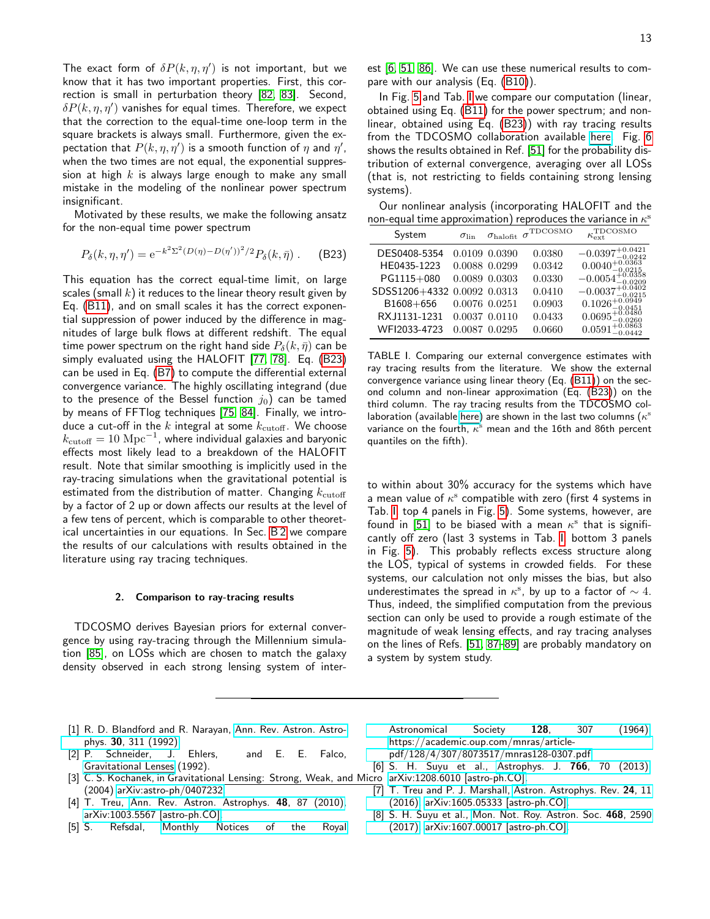The exact form of  $\delta P(k,\eta,\eta')$  is not important, but we know that it has two important properties. First, this correction is small in perturbation theory [\[82,](#page-15-26) [83\]](#page-15-27). Second,  $\delta P(k, \eta, \eta')$  vanishes for equal times. Therefore, we expect that the correction to the equal-time one-loop term in the square brackets is always small. Furthermore, given the expectation that  $P(k, \eta, \eta')$  is a smooth function of  $\eta$  and  $\eta'$ , when the two times are not equal, the exponential suppression at high  $k$  is always large enough to make any small mistake in the modeling of the nonlinear power spectrum insignificant.

Motivated by these results, we make the following ansatz for the non-equal time power spectrum

<span id="page-12-6"></span>
$$
P_{\delta}(k, \eta, \eta') = e^{-k^2 \Sigma^2 (D(\eta) - D(\eta'))^2/2} P_{\delta}(k, \bar{\eta}) . \tag{B23}
$$

This equation has the correct equal-time limit, on large scales (small  $k$ ) it reduces to the linear theory result given by Eq. [\(B11\)](#page-11-2), and on small scales it has the correct exponential suppression of power induced by the difference in magnitudes of large bulk flows at different redshift. The equal time power spectrum on the right hand side  $P_{\delta}(k, \bar{\eta})$  can be simply evaluated using the HALOFIT [\[77,](#page-15-21) [78\]](#page-15-22). Eq. [\(B23\)](#page-12-6) can be used in Eq. [\(B7\)](#page-10-3) to compute the differential external convergence variance. The highly oscillating integrand (due to the presence of the Bessel function  $j_0$ ) can be tamed by means of FFTlog techniques [\[75,](#page-15-19) [84\]](#page-15-28). Finally, we introduce a cut-off in the  $k$  integral at some  $k_{\text{cutoff}}$ . We choose  $k_{\text{cutoff}} = 10 \text{ Mpc}^{-1}$ , where individual galaxies and baryonic effects most likely lead to a breakdown of the HALOFIT result. Note that similar smoothing is implicitly used in the ray-tracing simulations when the gravitational potential is estimated from the distribution of matter. Changing  $k_{\text{cutoff}}$ by a factor of 2 up or down affects our results at the level of a few tens of percent, which is comparable to other theoretical uncertainties in our equations. In Sec. [B 2](#page-12-0) we compare the results of our calculations with results obtained in the literature using ray tracing techniques.

### <span id="page-12-1"></span><span id="page-12-0"></span>2. Comparison to ray-tracing results

TDCOSMO derives Bayesian priors for external convergence by using ray-tracing through the Millennium simulation [\[85\]](#page-15-29), on LOSs which are chosen to match the galaxy density observed in each strong lensing system of interest [\[6,](#page-12-7) [51,](#page-14-34) [86\]](#page-15-30). We can use these numerical results to compare with our analysis (Eq. [\(B10\)](#page-10-4)).

In Fig. [5](#page-13-0) and Tab. [I](#page-12-8) we compare our computation (linear, obtained using Eq. [\(B11\)](#page-11-2) for the power spectrum; and nonlinear, obtained using Eq. [\(B23\)](#page-12-6)) with ray tracing results from the TDCOSMO collaboration available [here.](https://github.com/TDCOSMO/hierarchy_analysis_2020_public/tree/master/TDCOSMO_sample/TDCOSMO_data) Fig. [6](#page-14-35) shows the results obtained in Ref. [\[51\]](#page-14-34) for the probability distribution of external convergence, averaging over all LOSs (that is, not restricting to fields containing strong lensing systems).

Our nonlinear analysis (incorporating HALOFIT and the non-equal time approximation) reproduces the variance in  $\kappa^s$ 

| System                      | $\sigma$ lin | $\sigma_{\rm halo fit}$ | $\sigma^{\text{TDCOSMO}}$ | $\kappa_{\rm ext}^{\rm TDCOSMO}$                          |
|-----------------------------|--------------|-------------------------|---------------------------|-----------------------------------------------------------|
| DES0408-5354                |              | 0.0109 0.0390           | 0.0380                    | $-0.0397_{-0.0242}^{+0.0421}$                             |
| HE0435-1223                 |              | 0.0088 0.0299           | 0.0342                    | $0.0040_{-0.0215}^{+0.0363}$                              |
| PG1115+080                  |              | 0.0089 0.0303           | 0.0330                    | $-0.0054_{-0.0209}^{+0.0358}$                             |
| SDSS1206+4332 0.0092 0.0313 |              |                         | 0.0410                    | $-0.0037_{-0.0215}^{+0.0402}$                             |
| B1608+656                   |              | 0.0076 0.0251           | 0.0903                    | $0.1026_{-0.0451}^{+0.0949}$                              |
| RXJ1131-1231                |              | 0.0037 0.0110           | 0.0433                    |                                                           |
| WFI2033-4723                |              | 0.0087 0.0295           | 0.0660                    | $0.0695^{+0.0480}_{-0.0260} \ 0.0591^{+0.0863}_{-0.0442}$ |

<span id="page-12-8"></span>TABLE I. Comparing our external convergence estimates with ray tracing results from the literature. We show the external convergence variance using linear theory (Eq. [\(B11\)](#page-11-2)) on the second column and non-linear approximation (Eq. [\(B23\)](#page-12-6)) on the third column. The ray tracing results from the TDCOSMO collaboration (available [here\)](https://github.com/TDCOSMO/hierarchy_analysis_2020_public/tree/master/TDCOSMO_sample/TDCOSMO_data) are shown in the last two columns ( $\kappa^{\mathrm{s}}$ variance on the fourth,  $\kappa^{\mathrm{s}}$  mean and the 16th and 86th percent quantiles on the fifth).

to within about 30% accuracy for the systems which have a mean value of  $\kappa^{\rm s}$  compatible with zero (first 4 systems in Tab. [I,](#page-12-8) top 4 panels in Fig. [5\)](#page-13-0). Some systems, however, are found in [\[51\]](#page-14-34) to be biased with a mean  $\kappa^{\rm s}$  that is significantly off zero (last 3 systems in Tab. [I,](#page-12-8) bottom 3 panels in Fig. [5\)](#page-13-0). This probably reflects excess structure along the LOS, typical of systems in crowded fields. For these systems, our calculation not only misses the bias, but also underestimates the spread in  $\kappa^{\rm s}$ , by up to a factor of  $\sim 4.$ Thus, indeed, the simplified computation from the previous section can only be used to provide a rough estimate of the magnitude of weak lensing effects, and ray tracing analyses on the lines of Refs. [\[51,](#page-14-34) [87](#page-15-31)[–89\]](#page-15-32) are probably mandatory on a system by system study.

- <span id="page-12-2"></span>[1] R. D. Blandford and R. Narayan, [Ann. Rev. Astron. Astro](http://dx.doi.org/10.1146/annurev.aa.30.090192.001523)phys. 30[, 311 \(1992\).](http://dx.doi.org/10.1146/annurev.aa.30.090192.001523)
- <span id="page-12-5"></span>[2] P. Schneider, J. Ehlers, and E. E. Falco, [Gravitational Lenses](http://dx.doi.org/10.1007/978-3-662-03758-4) (1992).
- [3] C. S. Kochanek, in Gravitational Lensing: Strong, Weak, and Micro [arXiv:1208.6010 \[astro-ph.CO\].](http://arxiv.org/abs/1208.6010) (2004) [arXiv:astro-ph/0407232.](http://arxiv.org/abs/astro-ph/0407232)
- <span id="page-12-3"></span>[4] T. Treu, [Ann. Rev. Astron. Astrophys.](http://dx.doi.org/10.1146/annurev-astro-081309-130924) 48, 87 (2010), [arXiv:1003.5567 \[astro-ph.CO\].](http://arxiv.org/abs/1003.5567)
- <span id="page-12-4"></span>[5] S. Refsdal, [Monthly Notices of the Royal](http://dx.doi.org/10.1093/mnras/128.4.307)

[Astronomical Society](http://dx.doi.org/10.1093/mnras/128.4.307) 128, 307 (1964), [https://academic.oup.com/mnras/article-](http://arxiv.org/abs/https://academic.oup.com/mnras/article-pdf/128/4/307/8073517/mnras128-0307.pdf)

[pdf/128/4/307/8073517/mnras128-0307.pdf.](http://arxiv.org/abs/https://academic.oup.com/mnras/article-pdf/128/4/307/8073517/mnras128-0307.pdf)

<span id="page-12-7"></span>[6] S. H. Suyu et al., [Astrophys. J.](http://dx.doi.org/10.1088/0004-637X/766/2/70) 766, 70 (2013),

- [7] T. Treu and P. J. Marshall, [Astron. Astrophys. Rev.](http://dx.doi.org/10.1007/s00159-016-0096-8) 24, 11 [\(2016\),](http://dx.doi.org/10.1007/s00159-016-0096-8) [arXiv:1605.05333 \[astro-ph.CO\].](http://arxiv.org/abs/1605.05333)
- [8] S. H. Suyu et al., [Mon. Not. Roy. Astron. Soc.](http://dx.doi.org/10.1093/mnras/stx483) 468, 2590 [\(2017\),](http://dx.doi.org/10.1093/mnras/stx483) [arXiv:1607.00017 \[astro-ph.CO\].](http://arxiv.org/abs/1607.00017)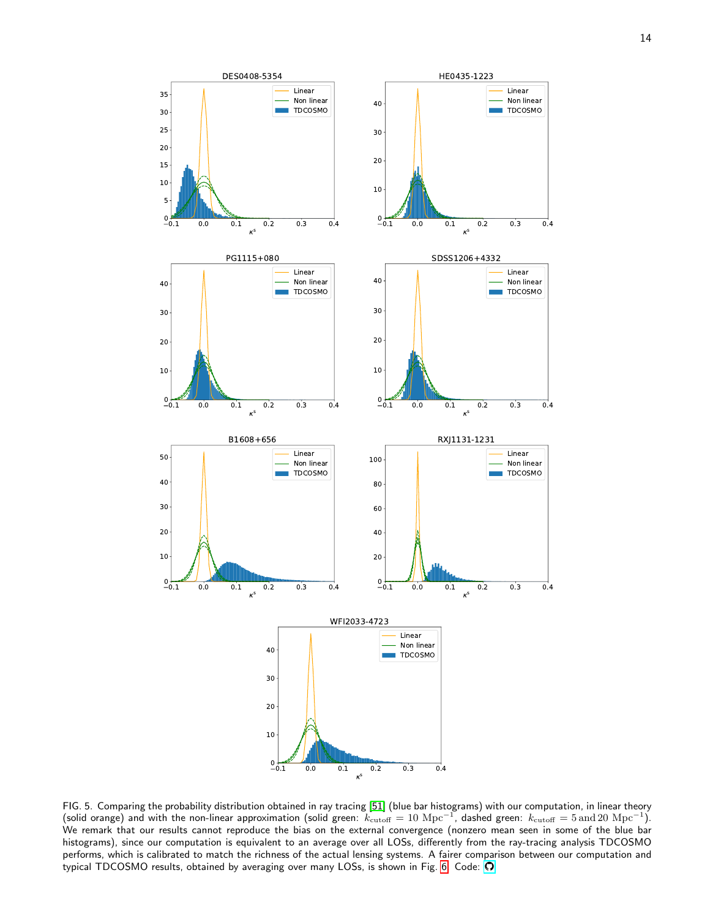

<span id="page-13-0"></span>FIG. 5. Comparing the probability distribution obtained in ray tracing [\[51\]](#page-14-34) (blue bar histograms) with our computation, in linear theory (solid orange) and with the non-linear approximation (solid green:  $k_{\rm cutoff}=10\;{\rm Mpc}^{-1}$ , dashed green:  $k_{\rm cutoff}=5\,{\rm and}\,20\;{\rm Mpc}^{-1}$ ). We remark that our results cannot reproduce the bias on the external convergence (nonzero mean seen in some of the blue bar histograms), since our computation is equivalent to an average over all LOSs, differently from the ray-tracing analysis TDCOSMO performs, which is calibrated to match the richness of the actual lensing systems. A fairer comparison between our computation and typical TDCOSMO results, obtained by averaging over many LOSs, is shown in Fig. [6.](#page-14-35) Code:  $\Omega$ .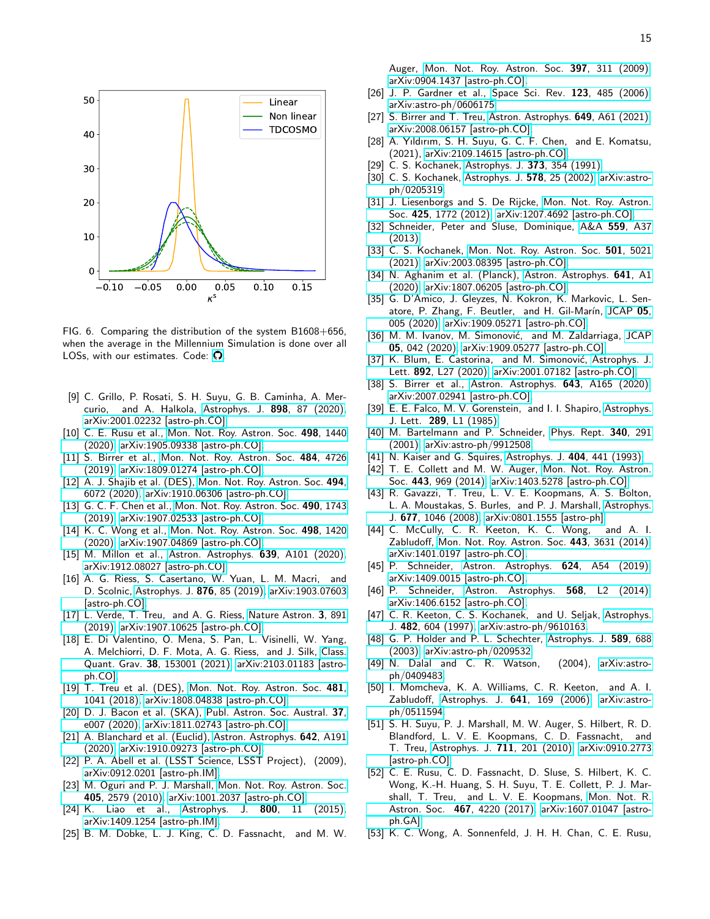

<span id="page-14-35"></span>FIG. 6. Comparing the distribution of the system B1608+656, when the average in the Millennium Simulation is done over all LOSs, with our estimates. Code:  $\Omega$ .

- <span id="page-14-0"></span>[9] C. Grillo, P. Rosati, S. H. Suyu, G. B. Caminha, A. Mercurio, and A. Halkola, [Astrophys. J.](http://dx.doi.org/ 10.3847/1538-4357/ab9a4c) 898, 87 (2020), [arXiv:2001.02232 \[astro-ph.CO\].](http://arxiv.org/abs/2001.02232)
- <span id="page-14-1"></span>[10] C. E. Rusu et al., [Mon. Not. Roy. Astron. Soc.](http://dx.doi.org/10.1093/mnras/stz3451) 498, 1440 [\(2020\),](http://dx.doi.org/10.1093/mnras/stz3451) [arXiv:1905.09338 \[astro-ph.CO\].](http://arxiv.org/abs/1905.09338)
- <span id="page-14-32"></span>[11] S. Birrer et al., [Mon. Not. Roy. Astron. Soc.](http://dx.doi.org/10.1093/mnras/stz200) 484, 4726 [\(2019\),](http://dx.doi.org/10.1093/mnras/stz200) [arXiv:1809.01274 \[astro-ph.CO\].](http://arxiv.org/abs/1809.01274)
- <span id="page-14-24"></span>[12] A. J. Shajib et al. (DES), [Mon. Not. Roy. Astron. Soc.](http://dx.doi.org/ 10.1093/mnras/staa828) 494, [6072 \(2020\),](http://dx.doi.org/ 10.1093/mnras/staa828) [arXiv:1910.06306 \[astro-ph.CO\].](http://arxiv.org/abs/1910.06306)
- [13] G. C. F. Chen et al., [Mon. Not. Roy. Astron. Soc.](http://dx.doi.org/10.1093/mnras/stz2547) 490, 1743 [\(2019\),](http://dx.doi.org/10.1093/mnras/stz2547) [arXiv:1907.02533 \[astro-ph.CO\].](http://arxiv.org/abs/1907.02533)
- [14] K. C. Wong et al., [Mon. Not. Roy. Astron. Soc.](http://dx.doi.org/10.1093/mnras/stz3094) 498, 1420 [\(2020\),](http://dx.doi.org/10.1093/mnras/stz3094) [arXiv:1907.04869 \[astro-ph.CO\].](http://arxiv.org/abs/1907.04869)
- <span id="page-14-2"></span>[15] M. Millon et al., [Astron. Astrophys.](http://dx.doi.org/10.1051/0004-6361/201937351) **639**, A101 (2020), [arXiv:1912.08027 \[astro-ph.CO\].](http://arxiv.org/abs/1912.08027)
- <span id="page-14-3"></span>[16] A. G. Riess, S. Casertano, W. Yuan, L. M. Macri, and D. Scolnic, [Astrophys. J.](http://dx.doi.org/10.3847/1538-4357/ab1422) 876, 85 (2019), [arXiv:1903.07603](http://arxiv.org/abs/1903.07603) [\[astro-ph.CO\].](http://arxiv.org/abs/1903.07603)
- <span id="page-14-33"></span>[17] L. Verde, T. Treu, and A. G. Riess, [Nature Astron.](http://dx.doi.org/10.1038/s41550-019-0902-0) 3, 891 [\(2019\),](http://dx.doi.org/10.1038/s41550-019-0902-0) [arXiv:1907.10625 \[astro-ph.CO\].](http://arxiv.org/abs/1907.10625)
- <span id="page-14-4"></span>[18] E. Di Valentino, O. Mena, S. Pan, L. Visinelli, W. Yang, A. Melchiorri, D. F. Mota, A. G. Riess, and J. Silk, [Class.](http://dx.doi.org/10.1088/1361-6382/ac086d) Quant. Grav. 38[, 153001 \(2021\),](http://dx.doi.org/10.1088/1361-6382/ac086d) [arXiv:2103.01183 \[astro](http://arxiv.org/abs/2103.01183)[ph.CO\].](http://arxiv.org/abs/2103.01183)
- <span id="page-14-5"></span>[19] T. Treu et al. (DES), [Mon. Not. Roy. Astron. Soc.](http://dx.doi.org/ 10.1093/mnras/sty2329) 481, [1041 \(2018\),](http://dx.doi.org/ 10.1093/mnras/sty2329) [arXiv:1808.04838 \[astro-ph.CO\].](http://arxiv.org/abs/1808.04838)
- [20] D. J. Bacon et al. (SKA), [Publ. Astron. Soc. Austral.](http://dx.doi.org/ 10.1017/pasa.2019.51) 37, [e007 \(2020\),](http://dx.doi.org/ 10.1017/pasa.2019.51) [arXiv:1811.02743 \[astro-ph.CO\].](http://arxiv.org/abs/1811.02743)
- <span id="page-14-6"></span>[21] A. Blanchard et al. (Euclid), [Astron. Astrophys.](http://dx.doi.org/10.1051/0004-6361/202038071) 642, A191 [\(2020\),](http://dx.doi.org/10.1051/0004-6361/202038071) [arXiv:1910.09273 \[astro-ph.CO\].](http://arxiv.org/abs/1910.09273)
- <span id="page-14-7"></span>[22] P. A. Abell et al. (LSST Science, LSST Project), (2009), [arXiv:0912.0201 \[astro-ph.IM\].](http://arxiv.org/abs/0912.0201)
- <span id="page-14-8"></span>[23] M. Oguri and P. J. Marshall, [Mon. Not. Roy. Astron. Soc.](http://dx.doi.org/10.1111/j.1365-2966.2010.16639.x) 405[, 2579 \(2010\),](http://dx.doi.org/10.1111/j.1365-2966.2010.16639.x) [arXiv:1001.2037 \[astro-ph.CO\].](http://arxiv.org/abs/1001.2037)
- <span id="page-14-26"></span>[24] K. Liao et al., Astrophys. J. 800[, 11 \(2015\),](http://dx.doi.org/10.1088/0004-637X/800/1/11) [arXiv:1409.1254 \[astro-ph.IM\].](http://arxiv.org/abs/1409.1254)
- <span id="page-14-9"></span>[25] B. M. Dobke, L. J. King, C. D. Fassnacht, and M. W.

Auger, [Mon. Not. Roy. Astron. Soc.](http://dx.doi.org/10.1111/j.1365-2966.2009.14873.x) 397, 311 (2009), [arXiv:0904.1437 \[astro-ph.CO\].](http://arxiv.org/abs/0904.1437)

- <span id="page-14-10"></span>[26] J. P. Gardner et al., [Space Sci. Rev.](http://dx.doi.org/10.1007/s11214-006-8315-7) 123, 485 (2006), [arXiv:astro-ph/0606175.](http://arxiv.org/abs/astro-ph/0606175)
- <span id="page-14-11"></span>[27] S. Birrer and T. Treu, [Astron. Astrophys.](http://dx.doi.org/10.1051/0004-6361/202039179) 649, A61 (2021), [arXiv:2008.06157 \[astro-ph.CO\].](http://arxiv.org/abs/2008.06157)
- <span id="page-14-12"></span>[28] A. Yıldırım, S. H. Suyu, G. C. F. Chen, and E. Komatsu, (2021), [arXiv:2109.14615 \[astro-ph.CO\].](http://arxiv.org/abs/2109.14615)
- <span id="page-14-13"></span>[29] C. S. Kochanek, [Astrophys. J.](http://dx.doi.org/10.1086/170057) 373, 354 (1991).
- <span id="page-14-19"></span>[30] C. S. Kochanek, [Astrophys. J.](http://dx.doi.org/10.1086/342476) 578, 25 (2002), [arXiv:astro](http://arxiv.org/abs/astro-ph/0205319)[ph/0205319.](http://arxiv.org/abs/astro-ph/0205319)
- [31] J. Liesenborgs and S. De Rijcke, [Mon. Not. Roy. Astron.](http://dx.doi.org/10.1111/j.1365-2966.2012.21751.x) Soc. 425[, 1772 \(2012\),](http://dx.doi.org/10.1111/j.1365-2966.2012.21751.x) [arXiv:1207.4692 \[astro-ph.CO\].](http://arxiv.org/abs/1207.4692)
- <span id="page-14-20"></span>[32] Schneider, Peter and Sluse, Dominique, A&A 559[, A37](http://dx.doi.org/ 10.1051/0004-6361/201321882) [\(2013\).](http://dx.doi.org/ 10.1051/0004-6361/201321882)
- <span id="page-14-14"></span>[33] C. S. Kochanek, [Mon. Not. Roy. Astron. Soc.](http://dx.doi.org/10.1093/mnras/staa4033) 501, 5021 [\(2021\),](http://dx.doi.org/10.1093/mnras/staa4033) [arXiv:2003.08395 \[astro-ph.CO\].](http://arxiv.org/abs/2003.08395)
- <span id="page-14-15"></span>[34] N. Aghanim et al. (Planck), [Astron. Astrophys.](http://dx.doi.org/10.1051/0004-6361/201833880) 641, A1 [\(2020\),](http://dx.doi.org/10.1051/0004-6361/201833880) [arXiv:1807.06205 \[astro-ph.CO\].](http://arxiv.org/abs/1807.06205)
- [35] G. D'Amico, J. Gleyzes, N. Kokron, K. Markovic, L. Sen-atore, P. Zhang, F. Beutler, and H. Gil-Marín, [JCAP](http://dx.doi.org/ 10.1088/1475-7516/2020/05/005) 05, [005 \(2020\),](http://dx.doi.org/ 10.1088/1475-7516/2020/05/005) [arXiv:1909.05271 \[astro-ph.CO\].](http://arxiv.org/abs/1909.05271)
- <span id="page-14-16"></span>[36] M. M. Ivanov, M. Simonović, and M. Zaldarriaga, [JCAP](http://dx.doi.org/10.1088/1475-7516/2020/05/042) 05[, 042 \(2020\),](http://dx.doi.org/10.1088/1475-7516/2020/05/042) [arXiv:1909.05277 \[astro-ph.CO\].](http://arxiv.org/abs/1909.05277)
- <span id="page-14-17"></span>[37] K. Blum, E. Castorina, and M. Simonović, [Astrophys. J.](http://dx.doi.org/10.3847/2041-8213/ab8012) Lett. 892[, L27 \(2020\),](http://dx.doi.org/10.3847/2041-8213/ab8012) [arXiv:2001.07182 \[astro-ph.CO\].](http://arxiv.org/abs/2001.07182)
- <span id="page-14-18"></span>[38] S. Birrer et al., [Astron. Astrophys.](http://dx.doi.org/10.1051/0004-6361/202038861) 643, A165 (2020), [arXiv:2007.02941 \[astro-ph.CO\].](http://arxiv.org/abs/2007.02941)
- <span id="page-14-21"></span>[39] E. E. Falco, M. V. Gorenstein, and I. I. Shapiro, [Astrophys.](http://dx.doi.org/10.1086/184422) J. Lett. 289[, L1 \(1985\).](http://dx.doi.org/10.1086/184422)
- <span id="page-14-22"></span>[40] M. Bartelmann and P. Schneider, [Phys. Rept.](http://dx.doi.org/10.1016/S0370-1573(00)00082-X) 340, 291 [\(2001\),](http://dx.doi.org/10.1016/S0370-1573(00)00082-X) [arXiv:astro-ph/9912508.](http://arxiv.org/abs/astro-ph/9912508)
- <span id="page-14-23"></span>[41] N. Kaiser and G. Squires, [Astrophys. J.](http://dx.doi.org/10.1086/172297) 404, 441 (1993).
- <span id="page-14-25"></span>[42] T. E. Collett and M. W. Auger, [Mon. Not. Roy. Astron.](http://dx.doi.org/10.1093/mnras/stu1190) Soc. 443[, 969 \(2014\),](http://dx.doi.org/10.1093/mnras/stu1190) [arXiv:1403.5278 \[astro-ph.CO\].](http://arxiv.org/abs/1403.5278)
- <span id="page-14-27"></span>[43] R. Gavazzi, T. Treu, L. V. E. Koopmans, A. S. Bolton, L. A. Moustakas, S. Burles, and P. J. Marshall, [Astrophys.](http://dx.doi.org/ 10.1086/529541) J. 677[, 1046 \(2008\),](http://dx.doi.org/ 10.1086/529541) [arXiv:0801.1555 \[astro-ph\].](http://arxiv.org/abs/0801.1555)
- <span id="page-14-28"></span>[44] C. McCully, C. R. Keeton, K. C. Wong, and A. I. Zabludoff, [Mon. Not. Roy. Astron. Soc.](http://dx.doi.org/10.1093/mnras/stu1316) 443, 3631 (2014), [arXiv:1401.0197 \[astro-ph.CO\].](http://arxiv.org/abs/1401.0197)
- <span id="page-14-31"></span>[45] P. Schneider, [Astron. Astrophys.](http://dx.doi.org/10.1051/0004-6361/201424881) 624, A54 (2019), [arXiv:1409.0015 \[astro-ph.CO\].](http://arxiv.org/abs/1409.0015)
- <span id="page-14-29"></span>[46] P. Schneider, [Astron. Astrophys.](http://dx.doi.org/10.1051/0004-6361/201424450) **568**, L2 (2014), [arXiv:1406.6152 \[astro-ph.CO\].](http://arxiv.org/abs/1406.6152)
- <span id="page-14-30"></span>[47] C. R. Keeton, C. S. Kochanek, and U. Seljak, [Astrophys.](http://dx.doi.org/10.1086/304172) J. 482[, 604 \(1997\),](http://dx.doi.org/10.1086/304172) [arXiv:astro-ph/9610163.](http://arxiv.org/abs/astro-ph/9610163)
- [48] G. P. Holder and P. L. Schechter, [Astrophys. J.](http://dx.doi.org/10.1086/374688) 589, 688 [\(2003\),](http://dx.doi.org/10.1086/374688) [arXiv:astro-ph/0209532.](http://arxiv.org/abs/astro-ph/0209532)
- [49] N. Dalal and C. R. Watson, (2004), [arXiv:astro](http://arxiv.org/abs/astro-ph/0409483)[ph/0409483.](http://arxiv.org/abs/astro-ph/0409483)
- [50] I. Momcheva, K. A. Williams, C. R. Keeton, and A. I. Zabludoff, Astrophys. J. 641[, 169 \(2006\),](http://dx.doi.org/10.1086/500382) [arXiv:astro](http://arxiv.org/abs/astro-ph/0511594)[ph/0511594.](http://arxiv.org/abs/astro-ph/0511594)
- <span id="page-14-34"></span>[51] S. H. Suyu, P. J. Marshall, M. W. Auger, S. Hilbert, R. D. Blandford, L. V. E. Koopmans, C. D. Fassnacht, and T. Treu, [Astrophys. J.](http://dx.doi.org/ 10.1088/0004-637X/711/1/201) 711, 201 (2010), [arXiv:0910.2773](http://arxiv.org/abs/0910.2773) [\[astro-ph.CO\].](http://arxiv.org/abs/0910.2773)
- [52] C. E. Rusu, C. D. Fassnacht, D. Sluse, S. Hilbert, K. C. Wong, K.-H. Huang, S. H. Suyu, T. E. Collett, P. J. Marshall, T. Treu, and L. V. E. Koopmans, [Mon. Not. R.](http://dx.doi.org/ 10.1093/mnras/stx285) Astron. Soc. 467[, 4220 \(2017\),](http://dx.doi.org/ 10.1093/mnras/stx285) [arXiv:1607.01047 \[astro](http://arxiv.org/abs/1607.01047)[ph.GA\].](http://arxiv.org/abs/1607.01047)
- [53] K. C. Wong, A. Sonnenfeld, J. H. H. Chan, C. E. Rusu,